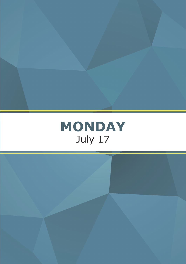

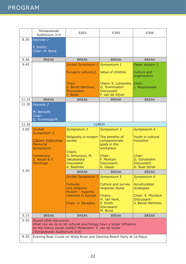|       | Tomaszewski<br>Auditorium 214                                                                                                                                 | S303                                                                          | S305                                                                      | S306                                                                   |
|-------|---------------------------------------------------------------------------------------------------------------------------------------------------------------|-------------------------------------------------------------------------------|---------------------------------------------------------------------------|------------------------------------------------------------------------|
| 8.30  | Keynote 1                                                                                                                                                     |                                                                               |                                                                           |                                                                        |
|       | P. Smith;<br>Chair: M. Bond                                                                                                                                   |                                                                               |                                                                           |                                                                        |
| 9.30  | <b>BREAK</b>                                                                                                                                                  | <b>BREAK</b>                                                                  | <b>BREAK</b>                                                              | <b>BREAK</b>                                                           |
| 9.45  |                                                                                                                                                               | <b>Invited Symposium 1</b>                                                    | Symposium 1                                                               | Paper session 1                                                        |
|       |                                                                                                                                                               | Europe's culture(s)                                                           | Value of children                                                         | Culture and<br>organization                                            |
|       |                                                                                                                                                               | Chair:<br>V. Benet-Martinez,<br>Discussant:<br>P. Boski                       | Chairs: K. Lubiewska,<br>G. Trommsdorf<br>Discussant:<br>F. van de Vijver | Chair:<br>J. Więckowska                                                |
| 11.15 | <b>BREAK</b>                                                                                                                                                  | <b>BREAK</b>                                                                  | <b>BREAK</b>                                                              | <b>BREAK</b>                                                           |
| 11.30 | Keynote 2<br>M. Bennett;<br>Chair:                                                                                                                            |                                                                               |                                                                           |                                                                        |
|       | G. Trommsdorff                                                                                                                                                |                                                                               |                                                                           |                                                                        |
| 12.30 |                                                                                                                                                               |                                                                               | <b>LUNCH</b>                                                              |                                                                        |
| 2.00  | <b>Invited</b>                                                                                                                                                | <b>Symposium 2</b>                                                            | Symposium 3                                                               | Symposium 4                                                            |
|       | <b>Symposium 2</b><br>Çiğdem Kağıtçıbaşı<br><b>Memorial</b><br>Symposium                                                                                      | Religiosity in modern<br>society<br>Chairs:                                   | The benefits of<br>compassionate<br>goals in the<br>workplace             | Youth in cultural<br>transition                                        |
|       | Convenors:<br>Z. Aycan & Y.<br>Poortinga                                                                                                                      | D. Simunovic, M.<br><b>Jakubowska</b><br>Discussant:<br>K. Boehnke            | Chair:<br>F. Montani<br>Discussant:<br>S. Glazer                          | Chair:<br>O. Oznobishin<br>Discussant:<br>D. Roer-Strier               |
| 3.30  |                                                                                                                                                               | <b>BREAK</b>                                                                  | <b>BREAK</b>                                                              | <b>BREAK</b>                                                           |
|       |                                                                                                                                                               | <b>Invited Symposium 3</b>                                                    | Symposium 5                                                               | Symposium 6                                                            |
|       |                                                                                                                                                               | <b>Cultures</b><br>and religions:<br>Muslim - majority<br>relations in Europe | Culture and survey<br>response styles<br>Chairs:<br>H. van Herk,          | <b>Acculturation</b><br>strategies<br>Chair: E. Murdock<br>Discussant: |
|       |                                                                                                                                                               | Chair: V. Saroglou                                                            | P. Smith                                                                  | V. Benet-Martinez                                                      |
|       |                                                                                                                                                               |                                                                               | Discussant:<br>M. Bond                                                    |                                                                        |
| 5.15  | <b>BREAK</b>                                                                                                                                                  | <b>BREAK</b>                                                                  | <b>BREAK</b>                                                              | <b>BREAK</b>                                                           |
| 5.30  | Round table discussion.                                                                                                                                       |                                                                               |                                                                           |                                                                        |
|       | What can we do to let cultural psychology have a larger influence<br>on the macro-social reality? Moderator: F. van de Vijver<br>(Tomaszewski Auditorium 214) |                                                                               |                                                                           |                                                                        |
| 8.30  | Evening Boat Cruise on Wisła River and Dancing Beach Party at La Playa.                                                                                       |                                                                               |                                                                           |                                                                        |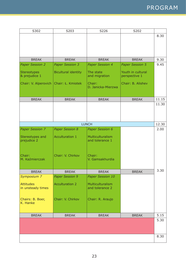| S302                                  | S203                       | S226                                | S202                               |              |
|---------------------------------------|----------------------------|-------------------------------------|------------------------------------|--------------|
|                                       |                            |                                     |                                    | 8.30         |
|                                       |                            |                                     |                                    |              |
|                                       |                            |                                     |                                    |              |
|                                       |                            |                                     |                                    |              |
| <b>BREAK</b>                          | <b>BREAK</b>               | <b>BREAK</b>                        | <b>BREAK</b>                       | 9.30         |
| <b>Paper Session 2</b>                | <b>Paper Session 3</b>     | <b>Paper Session 4</b>              | <b>Paper Session 5</b>             | 9.45         |
|                                       |                            |                                     |                                    |              |
| <b>Stereotypes</b><br>& prejudice 1   | <b>Bicultural identity</b> | The state<br>and migration          | Youth in cultural<br>perspective 1 |              |
| Chair: V. Alperovich                  | Chair: Ł. Kmiotek          | Chair:                              | Chair: B. Alishev                  |              |
|                                       |                            | D. Janicka-Mierzwa                  |                                    |              |
|                                       |                            |                                     |                                    |              |
| <b>BREAK</b>                          | <b>BREAK</b>               | <b>BREAK</b>                        | <b>BREAK</b>                       | 11.15        |
|                                       |                            |                                     |                                    | 11.30        |
|                                       |                            |                                     |                                    |              |
|                                       |                            |                                     |                                    |              |
|                                       |                            |                                     |                                    |              |
|                                       |                            | <b>LUNCH</b>                        |                                    | 12.30        |
| <b>Paper Session 7</b>                | <b>Paper Session 8</b>     | Paper Session 6                     |                                    | 2.00         |
|                                       | <b>Acculturation 1</b>     | Multiculturalism                    |                                    |              |
| Stereotypes and<br>prejudice 2        |                            | and tolerance 1                     |                                    |              |
|                                       |                            |                                     |                                    |              |
|                                       |                            |                                     |                                    |              |
| Chair:                                | Chair: V. Chirkov          | Chair:                              |                                    |              |
| M. Kaźmierczak                        |                            | V. Gamsakhurdia                     |                                    |              |
|                                       |                            |                                     |                                    |              |
| <b>BREAK</b>                          | <b>BREAK</b>               | <b>BREAK</b>                        | <b>BREAK</b>                       | 3.30         |
| Symposium 7                           | Paper Session 9            | Paper Session 10                    |                                    |              |
|                                       |                            |                                     |                                    |              |
| <b>Attitudes</b><br>in unsteady times | <b>Acculturation 2</b>     | Multiculturalism<br>and tolerance 2 |                                    |              |
|                                       |                            |                                     |                                    |              |
| Chairs: B. Boer,                      | Chair: V. Chirkov          | Chair: R. Araujo                    |                                    |              |
| K. Hanke                              |                            |                                     |                                    |              |
|                                       |                            |                                     |                                    |              |
|                                       |                            |                                     |                                    |              |
| <b>BREAK</b>                          | <b>BREAK</b>               | <b>BREAK</b>                        | <b>BREAK</b>                       | 5.15<br>5.30 |
|                                       |                            |                                     |                                    |              |
|                                       |                            |                                     |                                    |              |
|                                       |                            |                                     |                                    |              |
|                                       |                            |                                     |                                    | 8.30         |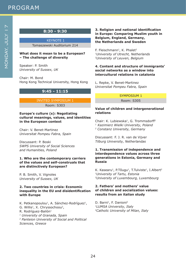MONDAY, JULY 17

MONDAY.JULY I7

 KEYNOTE 1 Tomaszewski Auditorium 214

### **What does it mean to be a European? – The challenge of diversity**

Speaker: P. Smith *University of Sussex, UK*

Chair: M. Bond Hong Kong Technical University, Hong Kong

### **9:45 - 11:15**

### INVITED SYMPOSIUM 1

Room: S303

### **Europe's culture (s): Negotiating cultural meanings, values, and identities in the European context**

Chair: V. Benet-Martinez *Universitat Pompeu Fabra, Spain*

Discussant: P. Boski *SWPS University of Social Sciences and Humanities, Poland*

### **1. Who are the contemporary carriers of the values and self-construals that are distinctively European?**

P. B. Smith, V. Vignoles *University of Sussex, UK*

### **2. Two countries in crisis: Economic inequality in the EU and disidentification with Europe**

K. Petkanopoulou<sup>1</sup>, A. Sánchez-Rodríguez<sup>1</sup>, G. Willis<sup>1</sup>, X. Chryssochoou<sup>2</sup>, R. Rodríguez-Bailón<sup>1</sup> *1 University of Granada, Spain 2 Panteion University of Social and Political Sciences, Greece*

### **3. Religion and national identification in Europe: Comparing Muslim youth in Belgium, England, Germany, the Netherlands and Sweden**

F. Fleischmann<sup>1</sup>, K. Phalet<sup>2</sup> *1University of Utrecht, Netherlands 2University of Leuven, Belgium*

### **4. Content and structure of immigrants' social networks as a window into intercultural relations in catalonia**

L. Repke, V. Benet-Martinez *Universitat Pompeu Fabra, Spain*

### SYMPOSIUM 1 Room: S305

## **Value of children and intergenerational**

Chair: K. Lubiewska<sup>1</sup>, G. Trommsdorff<sup>2</sup> *1 Kazimierz Wielki University, Poland 2 Constanz University, Germany*

Discussant: F. J. R. van de Vijver *Tilburg University, Netherlandas*

**relations** 

### **1. Transmission of independence and interdependence values across three generations in Estonia, Germany and Russia**

K. Kasearu<sup>1</sup>, P.Tõugu<sup>1</sup>, T.Tulviste<sup>1</sup>, I.Albert<sup>2</sup> *1University of Tartu, Estonia 2University of Luxembourg, Luxembourg*

### **2. Fathers' and mothers' value of children and socialization values: results from an italian study**

D. Barni<sup>1</sup>, F. Danioni<sup>2</sup> *1LUMSA University, Italy 2Catholic University of Milan, Italy*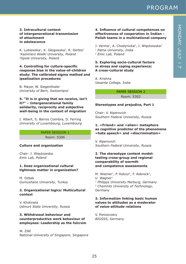K. Lubiewska<sup>1</sup>, K. Głogowska<sup>1</sup>, R. Derbis<sup>2</sup> *1Kazimierz Wielki University, Poland 2Opole University, Poland*

**4. Controlling for culture-specific response bias in the value-of-children study: The calibrated sigma method and ipsatization procedures**

B. Mayer, W. Siegenthaler *University of Bern, Switzerland*

**3. Intracultural context** 

**of attachment in adolescence**

### **5. "It is in giving that we receive, isn't it?" – Intergenerational family solidarity, reciprocity and subjective well-being in the context of migration**

I. Albert, S. Barros Coimbra, D. Ferring *University of Luxembourg, Luxembourg*

### PAPER SESSION 1

Room: S306

### **Culture and organization**

Chair: J. Więckowska *Emic Lab, Poland*

### **1. Does organizational cultural tightness matter in organization?**

M. Ozbek *Gumushane University, Turkey*

### **2. Organizational logics: Multicultural context**

V. Khotinets *Udmurt State University, Russia*

### **3. Withdrawal behaviour and counterproductive work behaviour of employees: Leadership as the fulcrum**

W. Żółć *National University of Singapore, Singapore*

### **effectiveness of cooperation in Indian - Polish teams in a multinational company**

J. Verma<sup>1</sup>, A. Chodynicka<sup>2</sup>, J. Więckowska<sup>2</sup> *1 Patna Universtiy, India 2 Emic Lab, Poland*

### **5. Exploring socio-cultural factors in stress and coping experience: A cross-cultural study**

A. Krishna *Vasanta College, India*

### PAPER SESSION 2

Room: S302

### **Stereotypes and prejudice, Part 1**

Chair: V. Alperovich *Southern Federal University, Russia*

### **1. «Friend» and «alien» metaphors as cognitive predictor of the phenomena «hate speech» and «discrimination»**

V. Alperovich *Southern Federal University, Russia*

### **2. The stereotype content model: testing cross-group and regional comparability of warmth and competence assessments**

M. Wiemer<sup>1</sup>, P. Kotzur<sup>1</sup>, F. Asbrock<sup>2</sup>, U. Wagner<sup>1</sup> *1 Philipps University Marburg, Germany 2 Chemnitz University of Technology, Germany*

### **3. Information linking basic human values to attitudes as a moderator of value-attitude relations**

V. Ponizovskiy *BIGSSS, Germany*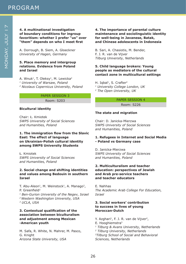A. Dorrough, B. Siem, A. Gloeckner *University of Hagen, Germany*

### **5. Place memory and intergroup relations. Evidence from Poland and Israel**

A. Wnuk<sup>1</sup>, T. Oleksy<sup>1</sup>, M. Lewicka<sup>2</sup> *1 University of Warsaw, Poland 2 Nicolaus Copernicus University, Poland*

### PAPER SESSION 3

Room: S203

### **Bicultural identity**

Chair: Ł. Kmiotek *SWPS University of Social Sciences and Humanities, Poland*

### **1. The immigration flow from the Slavic East: The effect of language on Ukrainian-Polish cultural identity among SWPS University Students**

Ł. Kmiotek *SWPS University of Social Sciences and Humanities, Poland*

### **2. Social change and shifting identities and values among Bedouin in southern Israel**

T. Abu-Aleon<sup>1</sup>, M. Weinstock<sup>1</sup>, A. Manago<sup>2</sup>, P. Greenfield<sup>3</sup> *1 Ben-Gurion University of the Negev, Israel 2 Western Washington University, USA 3 UCLA, USA*

### **3. Contextual qualification of the association between biculturalism and adjustment among Mexican -American youth**

M. Safa, R. White, N. Mahrer, M. Pasco, G. Knight *Arizona State University, USA*

### **4. The importance of parental culture maintenance and sociolinguistic identity for well-being in Javanese, Batak, and Chinese adolescents in Indonesia**

B. Sari, A. Chasiotis, M. Bender, F. J. R. van de Vijver *Tilburg University, Netherlands*

### **5. Child language brokers: Young people as mediators of the cultural contact zone in multicultural settings**

H. Iqbal<sup>1</sup>, S. Crafter<sup>2</sup> *1 University College London, UK 2 The Open University, UK*

### PAPER SESSION 4

Room: S226

### **The state and migration**

Chair: D. Janicka-Mierzwa *SWPS University of Social Sciences and Humanities, Poland*

### **1. Refugees in Internet and Social Media - Poland vs Germany case**

D. Janicka-Mierzwa *SWPS University of Social Sciences and Humanities, Poland*

### **2. Multiculturalism and teacher education: perspectives of Jewish and Arab pre-service teachers and teacher educators**

E. Nahhas *The Academic Arab College For Education, Israel*

### **3. Social workers' contribution to success in lives of young Moroccan-Dutch**

Y. Azghari<sup>1</sup>, F. J. R. van de Vijver<sup>2</sup>, E. Hooghiemstra3 *1 Tilburg & Avans University, Netherlands 2 Tilburg University, Netherlands 3Tilburg School of Social and Behavioral Sciences, Netherlands*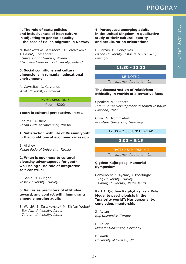### **4. The role of state policies and inclusiveness of host culture in adjusting to gender equality – the case of Polish migrants in Norway**

N. Kosakowska-Berezecka<sup>1</sup>, M. Żadkowska<sup>1</sup>, T. Besta<sup>1</sup>, T. Szlendak<sup>3</sup> *1 University of Gdansk, Poland 2 Nicolaus Copernicus University, Poland*

### **5. Social cognitions and cultural dimensions in romanian educational environment**

A. Gavreliuc, D. Gavreliuc *West University, Romania*

### PAPER SESSION 5

Room: S202

### **Youth in cultural perspective. Part 1**

Chair: B. Alishev *Kazan Federal University, Russia*

### **1. Satisfaction with life of Russian youth in the conditions of economic recession**

B. Alishev *Kazan Federal University, Russia*

### **2. When is openness to cultural diversity advantageous for youth well-being? The role of integrative self-construal**

E. Sahin, D. Güngör *Yasar University, Turkey*

### **3. Values as predictors of attitudes toward, and contact with, immigrants among emerging adults**

S. Walsh<sup>1</sup>, E. Tartakovsky<sup>2</sup>, M. Shifter Weber<sup>1</sup> *1 Bar Ilan University, Israel 2 Tel Aviv University, Israel*

### **4. Portuguese emerging adults in the United Kingdom: A qualitative study of their cultural identity and acculturation orientations**

D. Farcas, M. Gonçalves *Lisbon University Institute (ISCTE-IUL), Portugal*

### **11:30 - 12:30**

#### KEYNOTE 2

Tomaszewski Auditorium 214

### **The deconstruction of relativism: Ethicality in worlds of alternative facts**

Speaker: M. Bennett *Intercultural Development Research Institute Portland, Italy*

Chair: G. Trommsdorff *Konstanz University, Germany*

### 12:30 – 2:00 LUNCH BREAK

### **2:00 – 5:15**

### INVITED SYMPOSIUM 2

Tomaszewski Auditorium 214

### **Çiğdem Kağıtçıbaşı Memorial Symposium**

Convenors: Z. Aycan<sup>1</sup>, Y. Poortinga<sup>2</sup> *1 Koç University, Turkey 2 Tilburg University, Netherlands*

### **Part 1. Çiğdem Kağıtçıbaşı as a Role Model to psychologists in the "majority world": Her personality, conviction, mentorship.**

Z. Aycan *Koç University, Turkey*

H. Keller *Münster University, Germany*

P. Smith *University of Sussex, UK*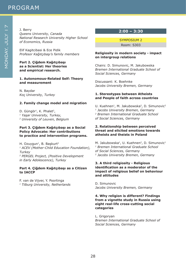J. Berry

*Queens University, Canada National Research University Higher School of Economics, Russia*

Elif Kagitcibasi & Ece Pidik *Profesor Kağıtçıbaşı's family members*

**Part 2. Çiğdem Kağıtçıbaşı as a Scientist: Her theories and empirical research.** 

### **1. Autonomous-Related Self: Theory and measurement**

N. Baydar *Koç University, Turkey*

### **2. Family change model and migration**

D. Güngör<sup>1</sup>, K. Phalet<sup>2</sup>, *<sup>1</sup> Yaşar University, Turkey, 2 University of Leuven, Belgium*

### **Part 3. Çiğdem Kağıtçıbaşı as a Social Policy Advocate: Her contributions to practice and intervention programs.**

H. Ozuygun<sup>1</sup>, B. Başkurt<sup>2</sup> *1 ACEV (Mother-Child Education Foundation), Turkey 2 PERGEL Project, (Positive Development in Early Adolescence), Turkey*

### **Part 4. Çiğdem Kağıtçıbaşı as a Citizen to IACCP**

F. van de Vijver, Y. Poortinga *1 Tilburg University, Netherlands*

### **2:00 – 3:30**

SYMPOSIUM 2

Room: S303

### **Religiosity in modern society - impact on intergroup relations**

Chairs: D. Simunovic, M. Jakubowska *Bremen International Graduate School of Social Sciences, Germany*

Discussant: K. Boehnke *Jacobs University Bremen, Germany*

### **1. Stereotypes between Atheists and People of faith across countries**

U. Kuehnen<sup>1</sup>, M. Jakubowska<sup>2</sup>, D. Simunovic<sup>2</sup> *1 Jacobs University Bremen, Germany 2 Bremen International Graduate School of Social Sciences, Germany*

### **2. Relationship between perceived threat and elicited emotions towards atheists and theists in Poland**

M. Jakubowska<sup>1</sup>, U. Kuehnen<sup>2</sup>, D. Simunovic<sup>1</sup> *1 Bremen International Graduate School of Social Sciences, Germany 2 Jacobs University Bremen, Germany*

### **3. A third religiosity - Religious identification as a moderator of the impact of religious belief on behaviour and attitudes**

D. Simunovic *Jacobs University Bremen, Germany*

### **4. Why religion is different? Findings from a vignette study in Russia using eight real-life cross-cutting social categories**

L. Grigoryan *Bremen International Graduate School of Social Sciences, Germany*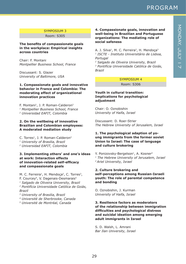### SYMPOSIUM 3

Room: S305

### **The benefits of compassionate goals in the workplace: Empirical insights across countries**

Chair: F. Montani *Montpellier Business School, France*

Discussant: S. Glazer *University of Baltimore, USA*

### **1. Compassionate goals and innovative behavior in France and Colombia: The moderating effect of organizational innovation practices**

F. Montani<sup>1</sup>, J. P. Roman-Calderon<sup>2</sup> *1 Montpellier Business School, France 2 Universidad EAFIT, Colombia*

### **2. On the wellbeing of innovative Brazilian and Colombian employees: A moderated mediation study**

C. Torres<sup>1</sup>, J. P. Roman-Calderon<sup>2</sup> *1 University of Brasilia, Brazil 2 Universidad EAFIT, Colombia*

### **3. Implementing others' and one's ideas at work: Interaction effects of innovation-related self-efficacy and compassionate goals**

M. C. Ferreira<sup>1</sup>, H. Mendoça<sup>2</sup>, C. Torres<sup>3</sup>, F. Courcey<sup>4</sup>, V. Dagenais-Desmarais<sup>5</sup> *1 Salgado de Oliveira University, Brazil 2 Pontifícia Universidade Católica de Goiás, Brazil*

*3 University of Brasilia, Brazil*

### *4 Université de Sherbrooke, Canada*

*5 Université de Montréal, Canada*

### **4. Compassionate goals, innovation and well-being in Brazilian and Portuguese organizations: The mediating role of social safeness**

A. J. Silva<sup>1</sup>, M. C. Ferreira<sup>2</sup>, H. Mendoca<sup>3</sup> *1 ISCTE - Instituto Universitário de Lisboa, Portugal*

*2 Salgado de Oliveira University, Brazil 3 Pontifícia Universidade Católica de Goiás, Brazil*

### SYMPOSIUM 4

Room: S306

### **Youth in cultural transition: Implications for psychological adjustment**

Chair: O. Oznobishin *University of Haifa, Israel*

Discussant: D. Roer-Strier *The Hebrew University of Jerusalem, Israel*

### **1. The psychological adaption of young immigrants from the former soviet Union to Israel: The case of language and culture brokering**

Y. Ponizovsky-Bergelson<sup>1</sup>, A. Kosner<sup>2</sup> *1 The Hebrew University of Jerusalem, Israel 2 Ariel University, Israel*

### **2. Culture brokering and self-perceptions among Russian-Israeli youth: The role of parental competence and bonding**

O. Oznobishin, J. Kurman *University of Haifa, Israel*

### **3. Resilience factors as moderators of the relationship between immigration difficulties and psychological distress and suicidal ideation among emerging adult immigrants in Israel**

S. D. Walsh, L. Amrani *Bar Ilan University, Israel*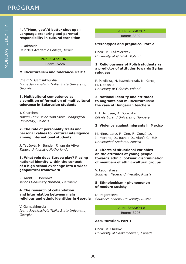### **4. \"Mom, you\'d better shut up\": Language brokering and parental responsibility in cultural transition**

L. Yakhnich *Beit Berl Academic College, Israel*

### PAPER SESSION 6

Room: S226

### **Multiculturalism and tolerance. Part 1**

Chair: V. Gamsakhurdia *Ivane Javakhishvili Tbilisi State University, Georgia*

### **1. Multicultural competence as a condition of formation of multicultural tolerance in Belarusian students**

T. Charches. *Maxim Tank Belarusian State Pedagogical University, Belarus*

### **2. The role of personality traits and personal values for cultural intelligence among international students**

J. Taušová, M. Bender, F. van de Vijver *Tilburg University, Netherlands*

### **3. What role does Europe play? Placing national identity within the context of a high school exchange into a wider geopolitical framework**

R. Arant, K. Boehnke *Jacobs University Bremen, Germany*

### **4. The research of cohabitation and interrelation between main religious and ethnic identities in Georgia**

V. Gamsakhurdia *Ivane Javakhishvili Tbilisi State University, Georgia*

### PAPER SESSION 7

Room: S302

### **Stereotypes and prejudice. Part 2**

Chair: M. Kaźmierczak *University of Gdańsk, Poland*

### **1. Religiousness of Polish students as a predictor of attitudes towards Syrian refugees**

P. Pawlicka, M. Kaźmierczak, N. Korcz, M. Lipowska *University of Gdańsk, Poland*

### **2. National identity and attitudes to migrants and multiculturalism: the case of Hungarian teachers**

L. L. Nguyen, A. Boreczky *Eötvös Loránd University, Hungary*

### **3. Violence against migrants in Mexico**

Martinez Lanz, P., Gen, F., González, I., Moreno, D., Ravelo D., Alanís C., E.P. *Universidad Anahuac, Mexico*

### **4. Effects of situational variables on the attitudes of young people towards ethnic lookism: discrimination of members of ethnic-cultural groups**

V. Labunskaya *Southern Federal University, Russia*

### **5. Ethnolookism - phenomenon of modern society**

D. Pogontseva *Southern Federal University, Russia*

> PAPER SESSION 8 Room: S203

### **Acculturation. Part 1**

Chair: V. Chirkov *University of Saskatchewan, Canada*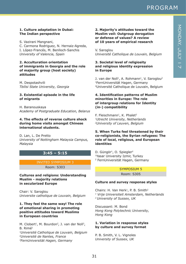### **1. Culture adaptation in Dubai: The Indian perspective**

S. Vazirani Mangnani,

C. Carmona Rodriguez, N. Hernaiz-Agreda, I. López-Francés, M. Benlloch-Sanchis *University of Valencia, Spain*

### **2. Acculturation orientation of immigrants in Georgia and the role of majority group (host society) attitudes**

M. Despotashvili *Tbilisi State University, Georgia*

### **3. Existential episode in the life of migrants**

H. Baranouskaya *Academy of Postgraduate Education, Belarus*

### **4. The effects of reverse culture shock during home visits amongst Chinese international students.**

D. Lan, L. De Pretto *University of Nottingham Malaysia Campus, Malaysia*

### **3:45 – 5:15**

### INVITED SYMPOSIUM 3

Room: S303

**Cultures and religions: Understanding Muslim - majority relations in secularized Europe**

Chair: V. Saroglou *Universite catholique de Louvain, Belgium*

### **1. They feel the same way! The role of emotional sharing in promoting positive attitudes toward Muslims in European countries**

M. Clobert<sup>1</sup>, M. Bourdon<sup>2</sup>, J. van der Noll<sup>3</sup>, B. Rimé<sup>1</sup> *1Université Catholique de Louvain, Belgium 2Université de Nantes, France 3FernUniversität Hagen, Germany*

### **2. Majority's attitudes toward the Muslim veil: Outgroup derogation or defense of values? A review of 10 years of empirical research**

V. Saroglou *Université Catholique de Louvain, Belgium*

### **3. Societal level of religiosity and religious identity expression in Europe**

J. van der Noll<sup>1</sup>, A. Rohmann<sup>1</sup>, V. Saroglou<sup>2</sup> 1FernUniversität Hagen, Germany 2Université Catholique de Louvain, Belgium

### **4. Identification patterns of Muslim minorities in Europe: The role of intergroup relations for Identity (in-) compatibility**

F. Fleischmann<sup>1</sup>, K. Phalet<sup>2</sup> *1Utrecht University, Netherlands 2University of Leuven, Belgium*

### **5. When Turks feel threatened by their co-religionists, the Syrian refugees: The role of local, religious, and European identities**

D. Güngör<sup>1</sup>, O. Spiegler<sup>2</sup> 1Yasar University Izmir, Turkey 2 FernUniversität Hagen, Germany

### SYMPOSIUM 5 Room: S305

### **Culture and survey response styles**

Chairs: H. Van Herk<sup>1</sup>, P. B. Smith<sup>2</sup> *1 Vrije Universiteit Amsterdam, Netherlands 2 University of Sussex, UK*

Discussant: M. Bond *Hong Kong Polytechnic University, Hong Kong*

### **1. Variation in response styles by culture and survey format**

P. B. Smith, V. L. Vignoles *University of Sussex, UK*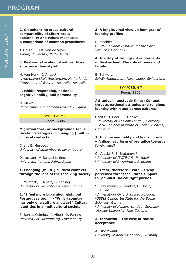J. He Jia, F. J.R. Van de Vijver *Tilburg University, Netherlands*

### **3. Best-worst scaling of values: More substance than style?**

H. Van Herk<sup>1</sup>, J. A. Lee<sup>2</sup> *1Vrije Universiteit Amsterdam, Netherlands 2 University of Western Australia, Australia*

### **4. Middle responding, national cognitive ability, and personality**

M. Minkov *Varna University of Management, Bulgaria*

### SYMPOSIUM 6

Room: S306

**Migration fore- or background? Acculturation strategies in changing (multi-) cultural contexts**

Chair: E. Murdock *University of Luxembourg, Luxembourg* 

Discussant: V. Benet-Martinez *Universitat Pompeu Fabra, Spain*

### **1. Changing (multi-) cultural contexts through the lens of the receiving society**

E. Murdock, I. Albert, D. Ferring *University of Luxembourg, Luxembourg*

### **2. "I feel more Luxembourgish, but Portuguese too…" - "Which country has only one culture anyway?" Cultural identities in a multicultural society**

S. Barros Coimbra, I. Albert, D. Ferring *University of Luxembourg, Luxembourg* 

### **3. A longitudinal view on immigrants' identity profiles**

D. Maehler *GESIS - Leibniz-Institute for the Social Sciences, Germany*

### **4. Identity of Immigrant adolescents in Switzerland: The role of peers and family**

B. Schwarz *ZHAW Angewandte Psychologie, Switzerland*

> SYMPOSIUM 7 Room: S302

### **Attitudes in unsteady times: Context threats, national attitudes and religious identity within and across cultures**

Chairs: D. Boer<sup>1</sup>, K. Hanke<sup>2</sup> *1 University of Koblenz-Landau, Germany 2 GESIS-Leibniz Institute of Social Sciences, Germany*

### **1. Income inequality and fear of crime – A disguised form of prejudice towards foreigners?**

C. Vauclair<sup>1</sup>, B. Bratanova<sup>2</sup> *1University of ISCTE-IUL, Portugal 2University of St Andrews, Scotland*

### **2. I fear, therefore I vote… : Why perceived threat facilitates support for populist radical right parties**

S. Schumann<sup>1</sup>, K. Hanke<sup>2</sup>, D. Boer<sup>3</sup>, J. H. Liu4 *1University of Oxford, United Kingdom 2GESIS-Leibniz Institute for the Social Sciences, Germany 3University of Koblenz-Landau, Germany 4Massey University, New Zealand*

### **3. Indonesia – The case of radical acceptance**

A. Okvitawanli *University of Koblenz-Landau, Germany*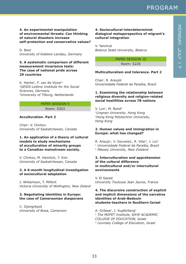### **4. An experimental manipulation of environmental threats: Can thinking of natural disasters increase self-protection and conservative values?**

D. Boer *University of Koblenz-Landau, Germany*

### **5. A systematic comparison of different measurement invariance tests: The case of national pride across 29 countries**

K. Hanke<sup>1</sup>, F. van de Vijver<sup>2</sup> *1GESIS-Leibniz Institute for the Social Sciences, Germany 2University of Tilburg, Netherlands*

### PAPER SESSION 9 Room: S203

### **Acculturation. Part 2**

Chair: V. Chirkov *University of Saskatchewan, Canada*

### **1. An application of a theory of cultural models to study mechanisms of acculturation of minority groups to a Canadian mainstream society.**

V. Chirkov, M. Heimlick, T. Kim *University of Saskatchewan, Canada*

### **2. A 6-month longitudinal investigation of sociocultural adaptation**

J. Williamson, T. Milfont *Victoria University of Wellington, New Zeland*

### **3. Negotiating identities in Europe: the case of Cameroonian diasporans**

C. Ojongnkpot *University of Buea, Cameroon*

### **4. Sociocultural-interdeterminist dialogical metaperspective of migrant's cultural integration**

V. Yanchuk *Belarus State University, Belarus*

> PAPER SESSION 10 Room: S226

### **Multiculturalism and tolerance. Part 2**

Chair: R. Araujol Universidade Federal da Paraiba, Brazil

### **1. Examining the relationship between religious diversity and religion-related social hostilities across 78 nations**

V. Lun<sup>1</sup>, M. Bond<sup>2</sup> *1Lingnan University, Hong Kong 2Hong Kong Polytechnic University, Hong Kong*

### **2. Human values and immigration in Europe: what has changed?**

R. Araujo<sup>1</sup>, V. Gouveia1, R. Vilar<sup>2</sup>, J. Liu<sup>2</sup> *1 Universidade Federal da Paraíba, Brazil 2 Massey University, New Zealand*

### **3. Interculturation and apprehension of the cultural difference in multicultural and/or intercultural environments**

V. El Sayed *University Toulouse Jean Jaures, France*

### **4. The discursive construction of explicit and implicit dimensions of the narrative identities of Arab-Bedouin students-teachers in Southern-Israel**

A. Gribiea<sup>1</sup>, I. Kupferberg<sup>2</sup> *1 The MOFET Institute, KAYE ACADEMIC COLLEGE OF EDUCATION, Israel 2 Levinsky College of Education, Israel*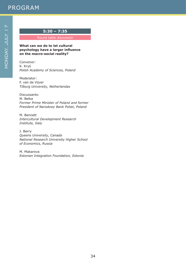### **5:30 – 7:35**

Round table discussion

**What can we do to let cultural psychology have a larger influence on the macro-social reality?**

Convenor: K. Kryś *Polish Academy of Sciences, Poland*

Moderator: F. van de Vijver *Tilburg University, Netherlandas*

Discussants: M. Belka *Former Prime Minister of Poland and former President of Narodowy Bank Polski, Poland*

M. Bennett *Intercultural Development Research Institute, Italy*

J. Berry *Queens University, Canada National Research University Higher School of Economics, Russia*

M. Makarova *Estonian Integration Foundation, Estonia*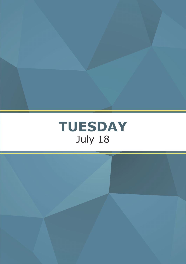

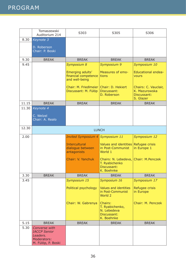|       | Tomaszewski<br>Auditorium 214                                                         | S303                                                       | S305                                                                   | S306                                                              |
|-------|---------------------------------------------------------------------------------------|------------------------------------------------------------|------------------------------------------------------------------------|-------------------------------------------------------------------|
| 8.30  | Keynote 3                                                                             |                                                            |                                                                        |                                                                   |
|       | D. Roberson<br>Chair: P. Boski                                                        |                                                            |                                                                        |                                                                   |
| 9.30  | <b>BREAK</b>                                                                          | <b>BREAK</b>                                               | <b>BREAK</b>                                                           | <b>BREAK</b>                                                      |
| 9.45  |                                                                                       | Symposium 8                                                | Symposium 9                                                            | Symposium 10                                                      |
|       |                                                                                       | Emerging adults'<br>financial competence<br>and well-being | Measures of emo-<br>tions                                              | <b>Educational endea-</b><br><b>vours</b>                         |
|       |                                                                                       | Chair: M. FriedImeier<br>Discussant: M. Fülöp              | Chair: D. Hekiert<br>Discussant:<br>D. Roberson                        | Chairs: C. Vauclair,<br>K. Mazurowska<br>Discussant:<br>S. Glazer |
| 11.15 | <b>BREAK</b>                                                                          | <b>BREAK</b>                                               | <b>BREAK</b>                                                           | <b>BREAK</b>                                                      |
| 11.30 | Keynote 4                                                                             |                                                            |                                                                        |                                                                   |
|       | C. Welzel<br>Chair: A. Realo                                                          |                                                            |                                                                        |                                                                   |
| 12.30 |                                                                                       |                                                            | <b>LUNCH</b>                                                           |                                                                   |
| 2.00  |                                                                                       | <b>Invited Symposium 4</b>                                 | Symposium 11                                                           | Symposium 12                                                      |
|       |                                                                                       | <b>Intercultural</b><br>dialogue between<br>antagonists    | <b>Values and identities</b><br>in Post-Communist<br>World 1           | Refugee crisis<br>in Europe 1                                     |
|       |                                                                                       | Chair: V. Yanchuk                                          | Chairs: N. Lebedeva,<br>T. Ryabichenko<br>Discussant:<br>K. Boehnke    | Chair: M.Penczek                                                  |
| 3.30  | <b>BREAK</b>                                                                          | <b>BREAK</b>                                               | <b>BREAK</b>                                                           | <b>BREAK</b>                                                      |
| 3.45  |                                                                                       | Symposium 15                                               | Symposium 16                                                           | Symposium 17                                                      |
|       |                                                                                       | Political psychology                                       | <b>Values and identities</b><br>in Post-Communist<br>World 2           | Refugee crisis<br>in Europe                                       |
|       |                                                                                       | Chair: W. Gabrenya                                         | Chairs:<br>T. Ryabichenko,<br>N. Lebedeva<br>Discussant:<br>K. Boehnke | Chair: M. Penczek                                                 |
| 5.15  | <b>BREAK</b>                                                                          | <b>BREAK</b>                                               | <b>BREAK</b>                                                           | <b>BREAK</b>                                                      |
| 5.30  | Converse with<br><b>IACCP Senior</b><br>Leaders.<br>Moderators:<br>M. Fülöp, P. Boski |                                                            |                                                                        |                                                                   |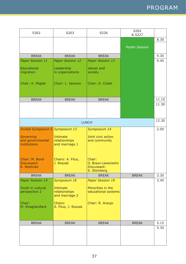| S302                                          | S203                                        | S226                                                        | S202<br>& S227        |       |
|-----------------------------------------------|---------------------------------------------|-------------------------------------------------------------|-----------------------|-------|
|                                               |                                             |                                                             |                       | 8.30  |
|                                               |                                             |                                                             | <b>Poster Session</b> |       |
|                                               |                                             |                                                             |                       |       |
| <b>BREAK</b>                                  | <b>BREAK</b>                                | <b>BREAK</b>                                                |                       | 9.30  |
| Paper Session 11                              | <b>Paper Session 12</b>                     | <b>Paper Session 13</b>                                     |                       | 9.45  |
| <b>Educational</b><br>migration               | Leadership<br>in organizations              | <b>Values and</b><br>society                                |                       |       |
| Chair: A. Migdal                              | Chair: L. Jackson                           | Chair: A. Cisłak                                            |                       |       |
| <b>BREAK</b>                                  | <b>BREAK</b>                                | <b>BREAK</b>                                                |                       | 11.15 |
|                                               |                                             |                                                             |                       | 11.30 |
|                                               |                                             |                                                             |                       |       |
|                                               |                                             | <b>LUNCH</b>                                                |                       | 12.30 |
| <b>Invited Symposium 5</b>                    | Symposium 13                                | Symposium 14                                                |                       | 2.00  |
| Governing<br>and governmental<br>institutions | Intimate<br>relationships<br>and marriage 1 | Joint civic action<br>and community                         |                       |       |
| Chair: M. Bond<br>Discussant:<br>K. Boehnke   | Chairs: A. Filus,<br>J. Roszak              | Chair:<br>O. Braun-Lewensohn<br>Discussant:<br>S. Steinberg |                       |       |
| <b>BREAK</b>                                  | <b>BREAK</b>                                | <b>BREAK</b>                                                | <b>BREAK</b>          | 3.30  |
| <b>Paper Session 14</b>                       | Symposium 18                                | <b>Paper Session 19</b>                                     |                       | 3.45  |
| Youth in cultural<br>perspective 2            | Intimate<br>relationships<br>and marriage 2 | Minorities in the<br>educational systems                    |                       |       |
| Chair:<br>M. Khaghanifard                     | Chairs:<br>A. Filus, J. Roszak              | Chair: R. Araujo                                            |                       |       |
|                                               |                                             |                                                             |                       | 5.15  |
| <b>BREAK</b>                                  | <b>BREAK</b>                                | <b>BREAK</b>                                                | <b>BREAK</b>          | 5.30  |
|                                               |                                             |                                                             |                       |       |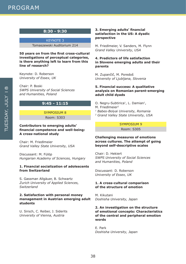### **8:30 - 9:30**

KEYNOTE 3 Tomaszewski Auditorium 214

**50 years on from the first cross-cultural investigations of perceptual categories, is there anything left to learn from this line of research?**

Keynote: D. Roberson *University of Essex, UK*

Chair: P. Boski *SWPS University of Social Sciences and Humanities, Poland*

### **9:45 - 11:15**

### SYMPOSIUM 8 Room: S303

### **Contributors to emerging adults' financial competence and well-being: A cross-national study**

Chair: M. Friedlmeier *Grand Valley State University, USA*

Discussant: M. Fülöp *Hungarian Academy of Sciences, Hungary*

### **1. Financial socialization of adolescents from Switzerland**

S. Gassman Allgäuer, B. Schwartz *Zurich University of Applied Sciences, Switzerland*

### **2. Satisfaction with personal money management in Austrian emerging adult students**

U. Sirsch, C. Reiber, J. Siderits *University of Vienna, Austria*

### **3. Emerging adults' financial satisfaction in the US: A dyadic perspective**

M. Friedlmeier, V. Sanders, M. Flynn *Grand Valley University, USA*

### **4. Predictors of life satisfaction in Slovene emerging adults and their parents**

M. Zupančič, M. Poredoš *University of Ljubljana, Slovenia*

### **5. Financial success: A qualitative analysis on Romanian parent-emerging adult child dyads**

- O. Negru-Subtirica<sup>1</sup>, L. Damian<sup>1</sup>,
- M. FriedImeier<sup>2</sup>
- *1 Babes-Bolyai University, Romania*
- *2 Grand Valley State University, USA*

### SYMPOSIUM 9 Room: S305

### **Challenging measures of emotions across cultures. The attempt of going beyond self-descriptive scales**

Chair: D. Hekiert *SWPS University of Social Sciences and Humanities, Poland*

Discussant: D. Roberson *University of Essex, UK*

### **1. A cross-cultural comparison of the structure of emotion**

M. Kikutani *Doshisha University, Japan*

### **2. An investigation on the structure of emotional concepts: Characteristics of the central and peripheral emotion words**

E. Park *Doshisha University, Japan*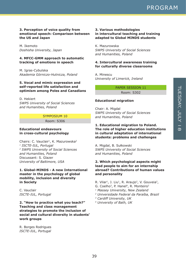### **3. Perception of voice quality from emotional speech: Comparison between the US and Japan**

M. Ikemoto *Doshisha University, Japan*

### **4. MFCC-GMM approach to automatic tracking of emotions in speech**

M. Igras-Cybulska *Akademia Górniczo-Hutnicza, Poland*

### **5. Vocal and mimic expression and self-reported life satisfaction and optimism among Poles and Canadians**

D. Hekiert *SWPS University of Social Sciences and Humanities, Poland*

### SYMPOSIUM 10

Room: S306

### **Educational endeavours in cross-cultural psychology**

Chairs: C. Vauclair<sup>1</sup>, K. Mazurowska<sup>2</sup> *1 ISCTE-IUL, Portugal 2 SWPS University of Social Sciences and Humanities, Poland* Discussant: S. Glazer *University of Baltimore, USA*

### **1. Global-MINDS - A new International master in the psychology of global mobility, inclusion and diversity in Society**

C. Vauclair *ISCTE-IUL, Portugal*

**2. "How to practice what you teach?" Teaching and class management strategies to promote the inclusion of social and cultural diversity in students' work groups**

R. Borges Rodrigues *ISCTE-IUL, Portugal*

### **3. Various methodologies in intercultural teaching and training adapted to Global MINDS students**

K. Mazurowska *SWPS University of Social Sciences and Humanities, Poland*

### **4. Intercultural awareness training for culturally diverse classrooms**

A. Minescu *University of Limerick, Ireland*

PAPER SESSION 11

Room: S302

### **Educational migration**

Chair: A. Migdal *SWPS University of Social Sciences and Humanities, Poland*

### **1. Educational migration to Poland. The role of higher education institutions in cultural adaptation of international students: problems and challenges**

A. Migdal, B. Sułkowski *SWPS University of Social Sciences and Humanities, Poland*

### **2. Which psychological aspects might lead people to aim for an internship abroad? Contributions of human values and personality**

- R. Vilar<sup>1</sup>, J. Liu<sup>1</sup>, R. Araujo<sup>2</sup>, V. Gouveia<sup>2</sup>,
- G. Coelho<sup>3</sup>, P. Hanel<sup>4</sup>, R. Monteiro<sup>2</sup>
- *1 Massey University, New Zealand*
- *2 Universidade Federal da Paraíba, Brazil*
- *3 Cardiff University, UK*
- *4 University of Bath, UK*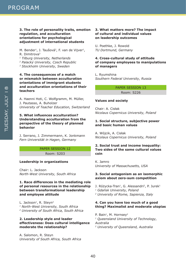**3. The role of personality traits, emotion regulation, and acculturation orientations for psychological adjustment of international students**

M. Bender<sup>1</sup>, J. Taušová<sup>2</sup>, F. van de Vijver<sup>1</sup>, R. Dimitrova3

*1 Tilburg University, Netherlands*

*2 Palacký University, Czech Republic*

*3 Stockholm University, Sweden*

### **4. The consequences of a match or mismatch between acculturation orientations of immigrant students and acculturation orientations of their teachers**

A. Haenni Hoti, C. Wolfgramm, M. Müller, J. Pautasso, A. Buholzer *University of Teacher Education, Switzerland*

### **5. What influences acculturation? Understanding acculturation from the perspective of the theory of planned behavior**

J. Serrano, J. Zimmermann, K. Jonkmann *Fern Universität in Hagen, Germany*

### PAPER SESSION 12 Room: S203

### **Leadership in organizations**

Chair: L. Jackson *North-West University, South Africa*

### **1. Race differences in the mediating role of personal resources in the relationship between transformational leadership and employee attitude**

L. Jackson<sup>1</sup>, R. Steyn<sup>2</sup> *1 North-West University, South Africa 2 University of South Africa, South Africa*

### **2. Leadership style and leader effectiveness: Does cultural intelligence moderate the relationship?**

A. Salomon, R. Steyn *University of South Africa, South Africa*

### **3. What matters more? The impact of cultural and individual values on leadership outcomes**

U. Poethke, J. Rowold *TU Dortmund, Germany*

### **4. Cross-cultural study of attitude of company employees to manipulations of managers**

L. Ryumshina *Southern Federal University, Russia*

> PAPER SESSION 13 Room: S226

### **Values and society**

Chair: A. Cisłak *Nicolaus Copernicus University, Poland*

### **1. Social structure, subjective power and basic human values**

A. Wójcik, A. Cisłak *Nicolaus Copernicus University, Poland*

### **2. Social trust and income inequality: Two sides of the same cultural values coin**

K. Jamro *University of Massachusetts, USA*

### **3. Social antagonism as an isomorphic axiom about zero-sum competition**

- J. Różycka-Tran<sup>1</sup>, G. Alessandri<sup>2</sup>, P. Jurek<sup>1</sup>
- *<sup>1</sup> Gdańsk University, Poland*
- *2 University of Rome, Sapienza, Italy*

### **4. Can you have too much of a good thing? Maximalist and moderate utopias**

P. Bain<sup>1</sup>, M. Hornsey<sup>2</sup> *1 Queensland University of Technology, Australia 2 University of Queensland, Australia*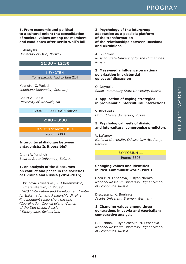**5. From economic and political to a cultural union: the consolidation of societal values among EU-members and candidates after Berlin Wall's fall**

P. Akaliyski *University of Oslo, Norway*

### **11:30 - 12:30**

KEYNOTE 4 Tomaszewski Auditorium 214

Keynote: C. Welzel *Leuphana University, Germany*

Chair: A. Realo *University of Warwick, UK*

### 12:30 – 2:00 LUNCH BREAK

### **2:00 - 3:30**

INVITED SYMPOSIUM 4 Room: S303

### **Intercultural dialogue between antagonists: Is it possible?**

Chair: V. Yanchuk *Belarus State University, Belarus*

### **1. An analysis of the discourses on conflict and peace in the societies of Ukraine and Russia (2014-2015)**

I. Brunova-Kalisetska<sup>1</sup>, K. Cheremnykh<sup>2</sup>, V. Cherevatenko<sup>3</sup>, C. Druey<sup>4</sup>, *1 NGO "Integration and Development Center for Information and Research", Ukraine 2independent researcher, Ukraine 3Coordination Council of the Women of the Don Union, Russia 4 Swisspeace, Switzerland*

### **2. Psychology of the intergroup adaptation as a possible platform of the transformation of the relationships between Russians and Ukrainians**

A. Bulgakov *Russian State University for the Humanities, Russia*

### **3. Mass-media influence on national polarization in existential episodes' discussion**

O. Deyneka *Sankt-Petersburg State University, Russia*

### **4. Application of coping strategies in problematic intercultural interactions**

V. Khotients *Udmurt State University, Russia*

### **5. Psychological reefs of division and intercultural compromise predictors**

V. Lefterov *National University, Odessa Law Academy, Ukraine*

> SYMPOSIUM 11 Room: S305

### **Changing values and identities in Post-Communist world. Part 1**

Chairs: N. Lebedeva, T. Ryabichenko *National Research University Higher School of Economics, Russia*

Discussant: K. Boehnke *Jacobs University Bremen, Germany*

### **1. Changing values among three generations in Latvia and Azerbaijan: comparative analysis**

E. Bushina, T. Ryabichenko, N. Lebedeva *National Research University Higher School of Economics, Russia*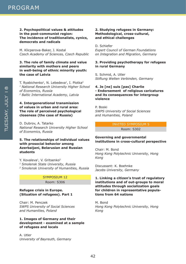### **2. Psychopolitical values & attitudes in the post-communist region: The incidence of traditionalists, cynics, democrats and radicals**

M. Klicperova-Baker, J. Kostal *Czech Academy of Sciences, Czech Republic*

### **3. The role of family climate and value similarity with mothers and peers in well-being of ethnic minority youth: the case of Latvia**

T. Ryabichenko<sup>1</sup>, N. Lebedeva<sup>1</sup>, I. Plotka<sup>2</sup> *1 National Research University Higher School of Economics, Russia 2 Baltic International Academy, Latvia*

### **4. Intergenerational transmission of values in urban and rural area: The role of perceived psychological closeness (the case of Russia)**

D. Dubrov, A. Tatarko *National Research University Higher School of Economics, Russia*

### **5. The relationships of individual values with prosocial behavior among Azerbaijani, Belarusian and Russian students**

Y. Kovaleva<sup>1</sup>, V. Gritsenko<sup>2</sup> *1 Smolensk State University, Russia 2 Smolensk University of Humanities, Russia*

### SYMPOSIUM 12

Room: S306

### **Refugee crisis in Europe. (Situation of refugees). Part 1**

Chair: M. Penczek *SWPS University of Social Sciences and Humanities, Poland*

### **1. Images of Germany and their development - examined at a sample of refugees and locals**

A. Utler *University of Bayreuth, Germany*

### **2. Studying refugees in Germany: Methodological, cross-cultural, and ethical challenges**

D. Schiefer *Expert Council of German Foundations on Integration and Migration, Germany*

### **3. Providing psychotherapy for refugees in rural Germany**

S. Schmid, A. Utler *Stiftung Welten Verbinden, Germany*

### **4. Je [ne] suis [pas] Charlie - Endorsement of religious caricatures and its consequences for intergroup violence**

P. Boski *SWPS University of Social Sciences and Humanities, Poland*

### INVITED SYMPOSIUM 5 Room: S302

### **Governing and governmental institutions in cross-cultural perspective**

Chair: M. Bond *Hong Kong Polytechnic University, Hong Kong*

Discussant: K. Boehnke *Jacobs University, Germany*

### **1. Linking a citizen's trust of regulatory institutions and of out-groups to moral attitudes through socialization goals for children in representative populations from 64 nations**

M. Bond *Hong Kong Polytechnic University, Hong Kong*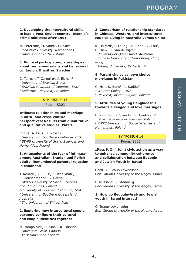### **2. Developing the intercultural skills to lead a Post-Soviet country: Estonia's prime ministers after 1991**

M. Peterson<sup>1</sup>, M. Vaadi<sup>2</sup>, M. Saks<sup>2</sup> *1 Maastrict University, Netherlands 2 University of Tartu, Estonia*

### **3. Political participation, stereotypes about parliamentarians and behavioral contagion: Brazil vs. Sweden**

C. Torres<sup>1</sup>, T. Carneiro<sup>2</sup>, J. Ekman<sup>3</sup> *1 University of Brasilia, Brazil 2 Brazilian Chamber of Deputies, Brazil 3 Södertörn University, Sweden*

### SYMPOSIUM 13

Room: S203

### **Intimate relationships and marriage in intra- and cross-cultural perspectives: Results from quantitative and qualitative studies. Part 1**

Chairs: A. Filus<sup>1</sup>, J. Roszak<sup>2</sup> *1 University of Southern California, USA 2 SWPS University of Social Sciences and Humanities, Poland*

### **1. Antecedents of the fear of intimacy among Australian, Iranian and Polish adults: Remembered parental rejection in childhood**

J. Roszak<sup>1</sup>, A. Filus<sup>2</sup>, Z. Izadikhah<sup>3</sup>, S. Dansehmandi<sup>4</sup>, S. Harris<sup>3</sup> *1 SWPS University of Social Sciences and Humanities, Poland 2 University of Southern California, USA 3 University of Southern Queensland, Australia 4 The University of Shiraz, Iran*

### **2. Exploring how intercultural couple partners configure their cultural and couple identities together**

M. Yampolsky<sup>1</sup>, H. Sibai<sup>2</sup>, R. Lalonde<sup>2</sup> *1 Université Laval, Canada 2 York University, Canada*

### **3. Comparison of relationship standards in Chinese, Western, and intercultural couples Living in Australia versus China**

K. Halford<sup>1</sup>, P. Leung<sup>2</sup>, H. Chan<sup>2</sup>, C. Lau<sup>2</sup>, D. Hiew<sup>1</sup>, F. van de Vijver<sup>3</sup> *1 University of Queensland, Australia 2 Chinese University of Hong Kong, Hong Kong 3 Tilburg University, Netherlands*

### **4. Parent choice vs. own choice marriages in Pakistan**

C. Hill<sup>1</sup>, S. Bano<sup>2</sup>, R. Saddul<sup>2</sup> *1 Whittier College, USA 2 University of the Punjab, Pakistan*

### **5. Attitudes of young Bangladeshis towards arranged and love marriages**

E. Rahman<sup>1</sup>, P. Szarota<sup>1</sup>, K. Cantarero<sup>2</sup> *1 Polish Academy of Sciences, Poland 2 SWPS University of Social Sciences and Humanities, Poland*

### SYMPOSIUM 14 Room: S226

**"Pass it On" Joint civic action as a way to enhance community coherence and collaboration between Bedouin and Jewish Youth in Israel**

Chair: O. Braun-Lewensohn Ben-Gurion University of the Negev, Israel

Discussant: S. Steinberg *Ben-Gurion University of the Negev, Israel*

### **1. How do Bedouin-Arab and Jewish youth in Israel interact?**

O. Braun-Lewensohn *Ben-Gurion University of the Negev, Israel*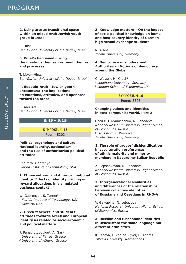### **2. Using arts as transitional space within an mixed Arab Jewish youth group in Israel**

E. Huss *Ben-Gurion University of the Negev, Israel*

### **3. What's happened during the meetings themselves: main themes and processes**

T. Litvak-Hirsch *Ben-Gurion University of the Negev, Israel*

### **4. Bedouin-Arab - Jewish youth encounters: The implications on emotions, attitudes, and openness toward the other**

S. Abu-Kaf *Ben-Gurion University of the Negev, Israel*

### **3:45 - 5:15**

SYMPOSIUM 15 Room: S303

### **Political psychology and culture: National identity, nationalism, and the rise of authoritarian political attitudes**

Chair: W. Gabrenya *Florida Institute of Technology, USA*

### **1. Ethnocentrism and American national identity: Effects of identity priming on reward allocations in a simulated business context**

W. Gabrenya<sup>1</sup>, S. Turner<sup>2</sup> *1 Florida Institute of Technology, USA 2 Deloitte, USA*

### **2. Greek teachers' and students' attitudes towards Greek and European identity as related to socio-economic and political matters**

P. Panagiotopoulou<sup>1</sup>, A. Gari<sup>2</sup> *1 University of Patras, Greece 2 University of Athens, Greece*

### **3. Knowledge matters – On the impact of socio-political knowledge on home and host country identity of German high school exchange students**

R. Arant *Jacobs University, Germany*

### **4. Democracy misunderstood: Authoritarian Notions of democracy around the Globe**

C. Welzel<sup>1</sup>, H. Kirsch<sup>2</sup> *1 Leuphana University, Germany 2 London School of Economics, UK*

### SYMPOSIUM 16 Room: S305

### **Changing values and identities in post-communist world. Part 2**

Chairs: T. Ryabichenko, N. Lebedeva *National Research University Higher School of Economics, Russia* Discussant: K. Boehnke *Jacobs University, Germany*

### **1. The role of groups' disidentification in acculturation preferences of ethnic majority and minority members in Kabardino-Balkar Republic**

Z. Lepshokovan, N. Lebedeva *National Research University Higher School of Economics, Russia*

### **2. Intergenerational similarities and differences of the relationships between collective identities of Russians and Ossetians in RNO-A**

V. Galyapina, N. Lebedeva *National Research University Higher School of Economics, Russia*

### **3. Russian and russophone identities in Uzbekistan: the same language but different ethnicities**

K. Isaeva, F. van de Vijver, B. Adams *Tilburg University, Netherlands*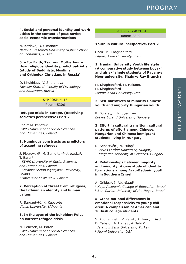### **4. Social and personal identity and work ethics in the context of post-soviet socio-economic transformations**

M. Kozlova, O. Simonova *National Research University Higher School of Economics, Russia*

### **5. «For Faith, Tsar and Motherland». How religious identity predict patriotism (study of Buddhists, Muslims and Orthodox Christians in Russia**)

O. Khukhlaev, V. Shorohova *Moscow State University of Psychology and Education, Russia*

### SYMPOSIUM 17

Room: S306

#### **Refugee crisis in Europe. (Receiving societies perspective) Part 2**

Chair: M. Penczek *SWPS University of Social Sciences and Humanities, Poland*

### **1. Numinous constructs as predictors of accepting refugees**

J. Piotrowski<sup>1</sup>, M. Żemojtel-Piotrowska<sup>2</sup>, T. Baran3 *1 SWPS University of Social Sciences and Humanities, Poland 2 Cardinal Stefan Wyszynski University, Poland 3 University of Warsaw, Poland*

### **2. Perception of threat from refugees, the Lithuanian identity and human values**

R. Sargautytė, K. Kupscytė *Vilnus University, Lithuania*

### **3. In the eyes of the beholder: Poles on current refugee crisis**

M. Penczek, M. Baran *SWPS University of Social Sciences and Humanities, Poland*

### PAPER SESSION 14

Room: S302

#### **Youth in cultural perspective. Part 2**

Chair: M. Khaghanifard *Islamic Azad University, Iran*

**1. Iranian University Youth life style (A comparative study between boys\' and girls\' single students of Payam-e Noor university, Shahr-e Ray Branch)**

M. Khaghanifard, M. Hakami, M. Khaghanifard *Islamic Azad University, Iran*

### **2. Self-narratives of minority Chinese youth and majority Hungarian youth**

K. Borsfay, L. Nguyen Luu *Eotvos Lorand University, Hungary*

### **3. Effort in cultural transition: cultural patterns of effort among Chinese, Hungarian and Chinese immigrant students living in Hungary**

N. Sebestyén<sup>1</sup>, M. Fülöp<sup>2</sup> *1 Eötvös Loránd University, Hungary 2 Hungarian Academy of Sciences, Hungary*

### **4. Relationships between majority and minority: A case study of identity formations among Arab-Bedouin youth in in Southern Israel**

A. Gribiea<sup>1</sup>, I. Abu-Saad<sup>2</sup>

*1 Kaye Academic College of Education, Israel 2 Ben-Gurion University of the Negev, Israel*

### **5. Cross-national differences in emotional responsivity to young children: A comparison of American and Turkish college students**

S. Abuhamdeh<sup>1</sup>, V. Raval<sup>2</sup>, A. Jain<sup>2</sup>, F. Aydin<sup>1</sup>, D. Cabalo<sup>1</sup>, A. Hajraj<sup>1</sup>, A. Tahiri<sup>1</sup> *1 Istanbul Sehir University, Turkey 2 Miami University, USA*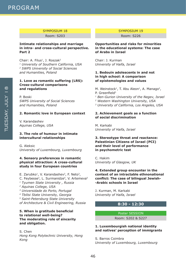### SYMPOSIUM 18

Room: S203

### **Intimate relationships and marriage in intra- and cross-cultural perspective. Part 2**

Chair: A. Filus<sup>1</sup>, J. Roszak<sup>2</sup> *1 University of Southern California, USA 2 SWPS University of Social Sciences and Humanities, Poland*

### **1. Love as romantic suffering (LRS): Cross-cultural comparisons and regulations**

P. Boski *SWPS University of Social Sciences and Humanities, Poland*

### **2. Romantic love in European context**

V. Karandashev *Aquinas College, USA*

### **3. The role of humour in intimate intercultural relationships**

G. Aleksic *University of Luxembourg, Luxembourg*

### **4. Sensory preferences in romantic physical attraction: A cross-cultural study in four European countries**

E. Zarubko<sup>1</sup>, V. Karandashev<sup>2</sup>, F. Neto<sup>3</sup>, C. Feybesse<sup>3</sup>, L. Surmanidze<sup>4</sup>, V. Artemeya<sup>5</sup> *1 Tyumen State University , Russia 2 Aquinas College, USA 3 Universidade do Porto, Portugal 4 Tbilisi State University, Georgia 5 Saint-Petersburg State University of Architecture & Civil Engineering, Russia*

### **5. When is gratitude beneficial to relational well-being? The moderating role of sincerity and obligation.**

S. Chen *Hong Kong Polytechnic University, Hong Kong*

### SYMPOSIUM 19

Room: S226

### **Opportunities and risks for minorities in the educational systems: The case of Arabs in Israel**

Chair: J. Kurman *University of Haifa, Israel*

### **1. Bedouin adolescents in and not in high school: A comparison of epistemologies and values**

M. Weinstock<sup>1</sup>, T. Abu Aleon<sup>1</sup>, A. Manago<sup>2</sup>, P. Greenfield<sup>3</sup>

- *1 Ben-Gurion University of the Negev, Israel*
- *2 Western Washington University, USA*
- *3 University of California, Los Angeles, USA*

### **2. Achievement goals as a function of social discrimination**

M. Karkabi *University of Haifa, Israel*

### **3. Stereotype threat and reactance: Palestinian Citizens of Israel (PCI) and their level of performance in psychometric test**

C. Hakim *University of Glasgow, UK*

### **4. Extended group encounter in the context of an intractable ethnonational conflict: The case of bilingual Jewish- -Arabic schools in Israel**

J. Kurman, M. Karkabi *University of Haifa, Israel*

### **8:30 - 12:30**

### Poster SESSION

Room: S202 & S227

### **1. Luxembourgish national identity and natives' perception of immigrants**

S. Barros Coimbra *University of Luxembourg, Luxembourg*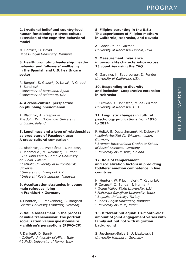**2. Irrational belief and country-level human functioning: A cross-cultural extension of the cognitive-behavioral model**

M. Bartucz, D. David *Babes-Bolyai University, Romania*

### **3. Health promoting leadership: Leader behavior and followers' wellbeing in the Spanish and U.S. health care sector**

R. Berger<sup>1</sup>, S. Glazer<sup>2</sup>, D. Leiva<sup>1</sup>, P. Criado<sup>1</sup>,  $E.$  Sanchez<sup>1</sup> *1 University of Barcelona, Spain 2 University of Baltimore, USA*

### **4. A cross-cultural perspective on phubbing phenomenon**

A. Błachnio, A. Przepiórka *The John Paul II Catholic University of Lublin, Poland*

### **5. Loneliness and a type of relationships as predictors of Facebook use: A cross-cultural comparison**

A. Błachnio<sup>1</sup>, A. Przepiórka<sup>1</sup>, J. Holdos<sup>2</sup>, A. Mahmoud<sup>3</sup>, M. Wołonciej<sup>1</sup>, E. Yafi<sup>4</sup> *1 The John Paul II Catholic University of Lublin, Poland 2 Catholic University in Ruzomberok, Slovakia 3 University of Liverpool, UK 4 Universiti Kuala Lumpur, Malaysia*

### **6. Acculturation strategies in young male refugees living in Frankfurt / Germany**

J. Chantah, E. Frankenberg, S. Bongard *Goethe-University Frankfurt, Germany*

### **7. Value assessment in the process of value transmission: The portrait socialization values questionnaire – children's perceptions (PSVQ-CP)**

F. Danioni<sup>1</sup>, D. Barni<sup>2</sup>

*1 Catholic University of Milan, Italy*

*2 LUMSA University of Rome, Italy*

### **8. Filipino parenting in the U.S.: The experiences of Filipino mothers in California, Nebraska, and Nevada**

A. Garcia, M. de Guzman *University of Nebraska-Lincoln, USA*

### **9. Measurement invariance in personality characteristics across 13 countries using the CAQ**

G. Gardiner, K. Sauerberger, D. Funder *University of California, USA*

### **10. Responding to diversity and inclusion: Cooperative extension in Nebraska**

J. Guzman, C. Johnston, M. de Guzman *University of Nebraska, USA*

### **11. Linguistic changes in cultural psychology publications from 1970 to 2014**

P. Holtz<sup>1</sup>, E. Deutschmann<sup>2</sup>, H. Dobewall<sup>3</sup> *1 Leibniz-Institut für Wissensmedien, Germany*

*2 Bremen International Graduate School of Social Sciences, Germany 3 University of Helsinki, Finland*

### **12. Role of temperament and socialization factors in predicting toddlers' emotion competence in five countries**

- H. Hunter<sup>1</sup>, W. Friedlmeier<sup>1</sup>, T. Kathuria<sup>2</sup>,
- F. Corapci<sup>3</sup>, O. Benga<sup>4</sup>, J. Kurman<sup>5</sup>
- *1 Grand Valley State University, USA*
- *2 Maharaja Sayajirao University, India*
- *3 Bogazici University, Turkey*
- *4 Babes-Bolyai University, Romania*
- *5 University of Haifa, Israel*

### **13. Different but equal: 18-month-olds' amount of joint engagement varies with family set but not with migration background**

S. Jeschonek-Seidel1, U. Liszkowski1 *University Hamburg, Germany*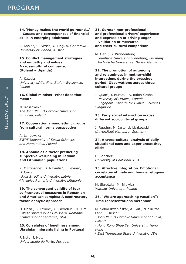### **14. 'Money makes the world go round…' – Causes and consequences of financial skills in emerging adulthood**

A. Kapias, U. Sirsch, Y. Jung, A. Ghamrawi *University of Vienna, Austria*

### **15. Conflict management strategies and empathy and values: A cross-cultural comparison (Poland – Uganda)**

A. Kawula *University of Cardinal Stefan Wyszynski, Poland*

### **16. Global mindset: What does that mean?**

M. Kossowska *The John Paul II Catholic University of Lublin, Poland*

### **17. Cooperation among ethnic groups from cultural norms perspective**

A. Landowska *SWPS University of Social Sciences and Humanities, Poland*

### **18. Anomia as a factor predicting subjective well-being in Latvian and Lithuanian populations**

K. Martinsone<sup>1</sup>, G. Navaitis<sup>2</sup>, J. Levina<sup>1</sup>, D. Caica<sup>1</sup> *1 Riga Stradins University, Latvia 2 Mykolas Romeris University, Lithuania*

### **19. The convergent validity of four self-construal measures in Romanian and American samples: A confirmatory factor-analytic approach**

D. Moza<sup>1</sup>, S. Lawrie<sup>2</sup>, A. Gavreliuc<sup>1</sup>, H. Kim<sup>2</sup> *1 West University of Timisoara, Romania 2 University of California, USA*

### **20. Correlates of loneliness among Ukrainian migrants living in Portugal**

F. Neto, J. Neto *Universidade do Porto, Portugal*

### **21. German non-professional and professional drivers' experience and expression of driving anger – validation of measures and cross-cultural comparison**

M. Oehl<sup>1</sup>, S. Brandenburg<sup>2</sup> *1 Leuphana University Lueneburg, Germany 2 Technische Universitaet Berlin, Germany*

### **22. The promotion of autonomy and relatedness in mother-child interactions during the preschool period: Observations across three cultural groups**

J. Quan<sup>1</sup>, J. Bureau<sup>1</sup>, A. Rifkin-Graboi<sup>2</sup> *1 University of Ottawa, Canada 2 Singapore Institute for Clinical Sciences, Singapore*

### **23. Early social interaction across different sociocultural groups**

J. Ruether, M. Jarto, U. Liszkowski *Universitaet Hamburg, Germany*

### **24. A cross-cultural analysis of daily situational cues and experiences they elicit**

B. Sanchez *University of California, USA*

### **25. Affective integration. Emotional correlates of male and female refugees acceptance**

M. Skrodzka, M. Bilewicz *Warsaw University, Poland*

### **26. "We are approaching vacation": Time representations metaphor**

M. Sobol-Kwapińska<sup>1</sup>, A. Gut<sup>1</sup>, N. Siu Yat Fan<sup>2</sup>, J. Hirsch<sup>3</sup> *1 John Paul II Catholic University of Lublin, Poland 2 Hong Kong Shue Yan University, Hong Kong 3 East Tennessee State University, USA*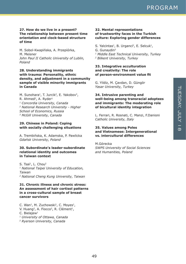### **27. How do we live in a present? The relationship between present time orientation and clock-based structure of time**

M. Sobol-Kwapińska, A. Przepiórka, M. Meisner *John Paul II Catholic University of Lublin, Poland*

### **28. Understanding immigrants with trauma: Personality, ethnic density, and adjustment in a community sample of visible minority immigrants in Canada**

M. Sunohara<sup>1</sup>, T. Jurcik<sup>2</sup>, E. Yakobov<sup>3</sup>, R. Ahmed<sup>3</sup>, A. Ryder<sup>1</sup> *1 Concordia University, Canada 2 National Research University - Higher School of Economics, Russia 3 McGill University, Canada*

### **29. Chinese in Poland: Coping with socially challenging situations**

A. Trembińska, K. Adamska, P. Pawlicka *Gdańsk University, Poland*

### **30. Subordinate's leader-subordinate relational identity and outcomes in Taiwan context**

S. Tsai<sup>1</sup>, L. Chou<sup>2</sup> *1 National Taipei University of Education, Taiwan 2 National Cheng Kung University, Taiwan*

### **31. Chronic illness and chronic stress: An assessment of hair cortisol patterns in a cross-cultural sample of breast cancer survivors**

C. Wan<sup>1</sup>, M. Zuchowski<sup>1</sup>, C. Moyes<sup>1</sup>, V. Huang<sup>2</sup>, A. Fiocco<sup>2</sup>, R. Clément<sup>1</sup>,  $C.$  Bielajew<sup>1</sup> *1 University of Ottawa, Canada 2 Ryerson University, Canada*

### **32. Mental representations of trustworthy faces in the Turkish culture: Exploring gender differences**

S. Yalcintas<sup>1</sup>, B. Urganci<sup>2</sup>, E. Selcuk<sup>1</sup>, G. Gunaydin2 *1 Middle East Technical University, Turkey 2 Bilkent University, Turkey*

### **33. Integrative acculturation and creativity: The role of person-environment value fit**

G. Yildiz, M. Çavdan, D. Güngör *Yasar University, Turkey*

### **34. Intrusive parenting and well-being among transracial adoptees and immigrants: The moderating role of bicultural identity integration**

L. Ferrari, R. Rosnati, C. Manzi, F.Danioni *Catholic University, Italy*

### **35. Values among Poles and Vietnamese: Intergenerational vs. intercultural differences**

M.Górecka *SWPS University of Social Sciences and Humanities, Poland*

49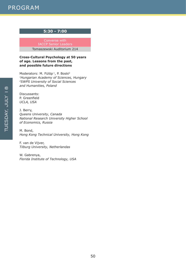### **5:30 - 7:00**

Converse with IACCP Senior Leaders Tomaszewski Auditorium 214

### **Cross-Cultural Psychology at 50 years of age. Lessons from the past, and possible future directions**

Moderators: M. Fülöp<sup>1</sup>, P. Boski<sup>2</sup> *1Hungarian Academy of Sciences, Hungary 2SWPS University of Social Sciences and Humanities, Poland*

Discussants: P. Greenfield *UCLA, USA*

J. Berry, *Queens University, Canada National Research University Higher School of Economics, Russia*

M. Bond, *Hong Kong Technical University, Hong Kong*

F. van de Vijver, *Tilburg University, Netherlandas*

W. Gabrenya, *Florida Institute of Technology, USA*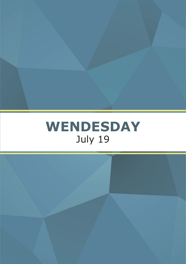

TUESDAY, JULY 1889, 1889, 1889, 1889, 1889, 1889, 1889, 1889, 1889, 1889, 1889, 1889, 1889, 1889, 1889, 1889, 1889, 1889, 1889, 1889, 1889, 1889, 1889, 1889, 1889, 1889, 1889, 1889, 1889, 1889, 1889, 1889, 1889, 1889, 1889

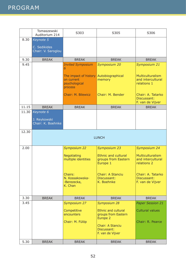|       | Tomaszewski<br>Auditorium 214      | S303                                                            | S305                                                                     | S306                                                        |  |  |
|-------|------------------------------------|-----------------------------------------------------------------|--------------------------------------------------------------------------|-------------------------------------------------------------|--|--|
| 8.30  | Keynote 5                          |                                                                 |                                                                          |                                                             |  |  |
|       | C. Sedikides<br>Chair: V. Saroglou |                                                                 |                                                                          |                                                             |  |  |
| 9.30  | <b>BREAK</b>                       | <b>BREAK</b>                                                    | <b>BREAK</b>                                                             | <b>BREAK</b>                                                |  |  |
| 9.45  |                                    | <b>Invited Symposium</b><br>6                                   | Symposium 20                                                             | Symposium 21                                                |  |  |
|       |                                    | The impact of history<br>on current<br>psychological<br>process | Autobiographical<br>memory                                               | <b>Multiculturalism</b><br>and intercultural<br>relations 1 |  |  |
|       |                                    | Chair: M. Bilewicz                                              | Chair: M. Bender                                                         | Chair: A. Tatarko<br>Discussant:<br>F. van de Vijver        |  |  |
| 11.15 | <b>BREAK</b>                       | <b>BREAK</b>                                                    | <b>BREAK</b>                                                             | <b>BREAK</b>                                                |  |  |
| 11.30 | Keynote 6                          |                                                                 |                                                                          |                                                             |  |  |
|       | J. Reykowski<br>Chair: K. Boehnke  |                                                                 |                                                                          |                                                             |  |  |
| 12.30 |                                    |                                                                 |                                                                          |                                                             |  |  |
|       |                                    | <b>LUNCH</b>                                                    |                                                                          |                                                             |  |  |
| 2.00  |                                    | Symposium 22                                                    | Symposium 23                                                             | Symposium 24                                                |  |  |
|       |                                    | Negotiating<br>multiple identities                              | <b>Ethnic and cultural</b><br>groups from Eastern<br>Europe 1            | <b>Multiculturalism</b><br>and intercultural<br>relations 2 |  |  |
|       |                                    | Chairs:<br>N. Kossakowska-<br>-Berezecka,<br>K. Chan            | Chair: A Stanciu<br>Discussant:<br>K. Boehnke                            | Chair: A. Tatarko<br>Discussant:<br>F. van de Vijver        |  |  |
| 3.30  | <b>BREAK</b>                       | <b>BREAK</b>                                                    | <b>BREAK</b>                                                             | <b>BREAK</b>                                                |  |  |
| 3.45  |                                    | Symposium 27                                                    | Symposium 28                                                             | <b>Paper Session 21</b>                                     |  |  |
|       |                                    | Competitive<br>encounters<br>Chair: M. Fülöp                    | <b>Ethnic and cultural</b><br>groups from Eastern<br>Europe <sub>2</sub> | <b>Cultural values</b><br>Chair: R. Pearce                  |  |  |
|       |                                    |                                                                 | Chair: A Stanciu<br>Discussant:<br>F. van de Vijver                      |                                                             |  |  |
| 5.30  | <b>BREAK</b>                       | <b>BREAK</b>                                                    | <b>BREAK</b>                                                             | <b>BREAK</b>                                                |  |  |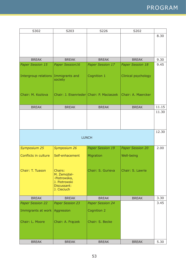| S302                    | S203                                                                                   | S226                    | S202                    |       |
|-------------------------|----------------------------------------------------------------------------------------|-------------------------|-------------------------|-------|
|                         |                                                                                        |                         |                         | 8.30  |
|                         |                                                                                        |                         |                         |       |
|                         |                                                                                        |                         |                         |       |
|                         |                                                                                        |                         |                         |       |
| <b>BREAK</b>            | <b>BREAK</b>                                                                           | <b>BREAK</b>            | <b>BREAK</b>            | 9.30  |
| <b>Paper Session 15</b> | <b>Paper Session16</b>                                                                 | <b>Paper Session 17</b> | <b>Paper Session 18</b> | 9.45  |
| Intergroup relations    | Immigrants and<br>society                                                              | Cognition 1             | Clinical psychology     |       |
| Chair: M. Kozlova       | Chair: J. Eisenrieder Chair: P. Maciaszek                                              |                         | Chair: A. Maercker      |       |
| <b>BREAK</b>            | <b>BREAK</b>                                                                           | <b>BREAK</b>            | <b>BREAK</b>            | 11.15 |
|                         |                                                                                        |                         |                         | 11.30 |
|                         |                                                                                        |                         |                         |       |
|                         |                                                                                        |                         |                         | 12.30 |
|                         |                                                                                        | <b>LUNCH</b>            |                         |       |
| Symposium 25            | Symposium 26                                                                           | <b>Paper Session 19</b> | <b>Paper Session 20</b> | 2.00  |
| Conflicts in culture    | Self-enhacement                                                                        | Migration               | Well-being              |       |
| Chair: T. Tuason        | Chairs:<br>M. Zemojtel-<br>-Piotrowska,<br>J. Piotrowski<br>Discussant:<br>J. Cieciuch | Chair: S. Gurieva       | Chair: S. Lawrie        |       |
| <b>BREAK</b>            | <b>BREAK</b>                                                                           | <b>BREAK</b>            | <b>BREAK</b>            | 3.30  |
| <b>Paper Session 22</b> | <b>Paper Session 23</b>                                                                | <b>Paper Session 24</b> |                         | 3.45  |
| Immigrants at work      | Aggression                                                                             | Cognition 2             |                         |       |
| Chair: L. Moore         | Chair: A. Frączek                                                                      | Chair: S. Becke         |                         |       |
| <b>BREAK</b>            | <b>BREAK</b>                                                                           | <b>BREAK</b>            | <b>BREAK</b>            | 5.30  |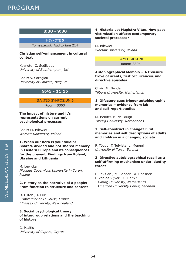### **8:30 - 9:30**

KEYNOTE 5 Tomaszewski Auditorium 214

### **Christian self-enhancement in cultural context**

Keynote: C. Sedikides *University of Southampton, UK*

Chair: V. Saroglou *University of Louvain, Belgium*

### **9:45 - 11:15**

### INVITED SYMPOSIUM 6 Room: S303

### **The impact of history and it's representations on current psychological processes**

Chair: M. Bilewicz *Warsaw University, Poland*

**1. When our hero is your villain: Shared, divided and not shared memory in Eastern Europe and its consequences for the present. Findings from Poland, Ukraine and Lithuania**

M. Lewicka *Nicolaus Copernicus University in Toruń, Poland*

### **2. History as the narrative of a people: From function to structure and content**

D. Hilton<sup>1</sup>, J. Liu<sup>2</sup> *1 University of Toulouse, France 2 Massey University, New Zealand*

### **3. Social psychological theory of intergroup relations and the teaching of history**

C. Psaltis *University of Cyprus, Cyprus*

### **4. Historia est Magistra Vitae. How past victimization affects contemporary societal processes?**

M. Bilewicz *Warsaw University, Poland*

### SYMPOSIUM 20 Room: S305

### **Autobiographical Memory – A treasure trove of scents, first occurrences, and directive episodes**

Chair: M. Bender *Tilburg University, Netherlands*

### **1. Olfactory cues trigger autobiographic memories – evidence from lab and self-report studies**

M. Bender, M. de Bruijn *Tilburg University, Netherlands*

### **2. Self-construct in change? First memories and self descriptions of adults and children in a changing society**

P. Tõugu, T. Tulviste, L. Mengel *University of Tartu, Estonia*

### **3. Directive autobiographical recall as a self-affirming mechanism under identity threat**

L. Tavitian<sup>1</sup>, M. Bender<sup>1</sup>, A. Chasiotis<sup>1</sup>,

- F. van de Vijver<sup>1</sup>, C. Harb<sup>2</sup>
- *1 Tilburg Univeristy, Netherlands*
- *2 American University Beirut, Lebanon*

WENDESDAY, JULY 19

WENDESDAY, JULY I

 $\Omega$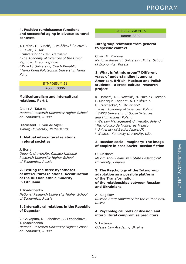### **4. Positive reminiscence functions and successful aging in diverse cultural contexts**

J. Hofer<sup>1</sup>, H. Busch<sup>1</sup>, I. Poláčková Šolcová<sup>2</sup>, P. Tavel<sup>3</sup>, A. Au<sup>4</sup> *1 University of Trier, Germany*

*2 The Academy of Sciences of the Czech Republic, Czech Republic*

*3 Palacky University, Czech Republic 4 Hong Kong Polytechnic University, Hong Kong*

#### SYMPOSIUM 21

Room: S306

### **Multiculturalism and intercultural relations. Part 1**

Chair: A. Tatarko *National Research University Higher School of Economics, Russia*

Discussant: F. van de Vijver *Tilburg University, Netherlands*

### **1. Mutual intercultural relations in plural societies**

J. Berry *Queen's University, Canada National Research University Higher School of Economics, Russia*

### **2. Testing the three hypotheses of intercultural relations: Acculturation of the Russian ethnic minority in Lithuania**

T. Ryabichenko *National Research University Higher School of Economics, Russia*

### **3. Intercultural relations in the Republic of Dagestan**

V. Galyapina, N. Lebedeva, Z. Lepshokova, T. Ryabichenko *National Research University Higher School of Economics, Russia*

### PAPER SESSION 15

Room: S302

### **Intergroup relations: from general to specific context**

Chair: M. Kozlova *National Research University Higher School of Economics, Russia*

### **1. What is 'ethnic group'? Different ways of understanding it among American, British, Mexican and Polish students - a cross-cultural research project**

K. Hamer<sup>1</sup>, T. Jułkowski<sup>2</sup>, M. Łużniak-Piecha<sup>3</sup>, L. Manrique Cadena<sup>4</sup>, A. Golińska<sup>4</sup>, B. Czarnecka<sup>5</sup>, S. McFarland<sup>6</sup> *1 Polish Academy of Sciences, Poland 2 SWPS University of Social Sciences and Humanities, Poland 3 Warsaw Management University, Poland 4Tecnologico de Monterrey,Mexico 5 University of Bedfordshire,UK 6 Western Kentucky University, USA*

### **2. Russian social imaginary: The image of empire in post-Soviet Russian fiction**

O. Orisheva *Maxim Tank Belarusian State Pedagogical University, Belarus*

### **3. The Psychology of the Intergroup adaptation as a possible platform of the Transformation of the relationships between Russian and Ukrainians**

A. Bulgakov *Russian State University for the Humanities, Russia*

### **4. Psychological reefs of division and intercultural compromise predictors**

V. Lefterov *Odessa Law Academy, Ukraine*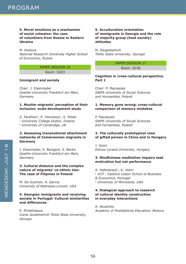### **5. Moral emotions as a mechanism of social cohesion: the case of volunteers from Russia to Eastern Ukraine**

M. Kozlova *National Research University Higher School of Economics, Russia*

### PAPER SESSION 16

Room: S203

### **Immigrant and society**

Chair: J. Eisenrieder *Goethe-University Frankfurt am Main, Germany*

### **1. Muslim migrants' perception of their inclusion: scale development study**

Z. Farahani<sup>1</sup>, E. Hennessy<sup>1</sup>, E. Polek<sup>2</sup> *1 University College Dublin, Ireland 2 University of Cambridge, U*K

### **2. Assessing transnational attachment networks of Cameroonian migrants in Germany**

J. Eisenrieder, S. Bongard, S. Becke *Goethe-University Frankfurt am Main, Germany*

### **3. Cultural distance and the complex nature of migrants' co-ethnic ties: The case of Filipinos in Poland**

M. De Guzman, A. Garcia *University of Nebraska-Lincoln, USA*

### **4. Georgian immigrants and receiving society in Portugal: Cultural similarities and differences**

E. Pirtskhalava *Ivane Javakhishvili Tbilisi State University, Georgia*

### **5. Acculturation orientation of immigrants in Georgia and the role of majority group (host society) attitudes**

M. Despotashvili *Tbilisi State University, Georgia*

> PAPER SESSION 17 Room: S226

**Cognition in cross-cultural perspective. Part 1**

Chair: P. Maciaszek *SWPS University of Social Sciences and Humanities, Poland*

### **1. Memory gone wrong: cross-cultural comparison of memory mistakes**

P. Maciaszek *SWPS University of Social Sciences and Humanities, Poland*

### **2. The culturally prototypical view of gifted person in China and in Hungary**

J. Gyori *Eotvos Lorand University, Hungary*

### **3. Mindfulness meditation impairs task motivation but not performance**

A. Hafenbrack<sup>1</sup>, K. Vohs<sup>2</sup> *1 UCP - Católica Lisbon School of Business & Economics, Portugal 2 University of Minnesota, USA*

### **4. Dialogical approach to research of cultural identity construction in everyday interactions**

A. Akulenko *Academy of Postdiploma Education, Belarus*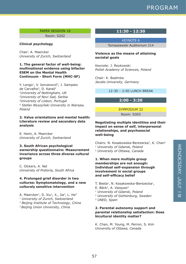### PAPER SESSION 18

Room: S202

### **Clinical psychology**

Chair: A. Maercker *University of Zurich, Switzerland*

### **1. The general factor of well-being: multinational evidence using bifactor ESEM on the Mental Health Continuum - Short Form (MHC-SF)**

Y. Longo<sup>1</sup>, V. Jonvanović<sup>2</sup>, J. Sampaio de Carvalho<sup>3</sup>, D. Karaś<sup>4</sup> *1University of Nottingham, UK 2University of Novi Sad, Serbia 3University of Lisbon, Portugal <sup>4</sup> Stefan Wyszyński University in Warsaw, Poland*

### **2. Value orientations and mental health: Literature review and secondary data analysis**

E. Heim, A. Maercker *University of Zurich, Switzerland*

**3. South African psychological ownership questionnaire: Measurement invariance across three diverse cultural groups** 

C. Olckers, A. Nel *Univeristy of Pretoria, South Africa*

### **4. Prolonged grief disorder in two cultures: Symptomatology, and a new culturaly sensitive intervention**

A. Maercker<sup>1</sup>, D. Xiu<sup>1</sup>, X., Jia<sup>2</sup>, L. He<sup>3</sup> *1 University of Zurich, Switzerland*

- *2 Beijing Institute of Technology, China*
- *3 Beijing Union University, China*

### **11:30 - 12:30**

KEYNOTE 6

Tomaszewski Auditorium 214

### **Violence as the means of attaining societal goals**

Keynote: J. Reykowski *Polish Academy of Sciences, Poland*

Chair: K. Boehnke *Jacobs University, Germany*

12:30 – 2:00 LUNCH BREAK

### **2:00 - 3:30**

SYMPOSIUM 22

Room: S303

### **Negotiating multiple identities and their impact on sense of self, interpersonal relationships, and psychosocial well-being**

Chairs: N. Kosakowska-Berezecka<sup>1</sup>, K. Chan<sup>2</sup> *1 University of Gdansk, Poland 2 University of Ottawa, Canada*

### **1. When mere multiple group memberships are not enough: Individual self-expansion through involvement in social groups and self-efficacy belief**

- T. Besta<sup>1</sup>, N. Kosakowska-Berezecka<sup>1</sup>,
- E. Bäck<sup>2</sup>, A. Vazquez<sup>3</sup>
- *1 University of Gdansk, Poland*
- *2 University of Gothenburg, Sweden*
- *3 UNED, Spain*

### **2. Parental autonomy support and parental relationship satisfaction: Does bicultural identity matter?**

K. Chan, M. Young, M. Perron, S. Kim *University of Ottawa, Canada*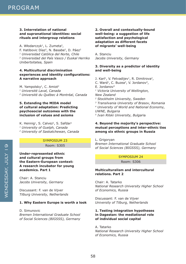### **3. Interrelation of national and supranational identities: social rituals and intergroup relations**

A. Włodarczyk<sup>1</sup>, L. Zumeta<sup>2</sup>, F. Hatibovic Díaz<sup>2</sup>, N. Basabe<sup>2</sup>, D. Páez<sup>2</sup> *1 Universidad Católica del Norte, Chile 2 Universidad del País Vasco / Euskal Herriko Unibertsitatea, Spain*

### **4. Multicultural discrimination experiences and identity configurations: A narrative approach**

M. Yampolsky<sup>1</sup>, C. Amiot<sup>2</sup> *1 Université Laval, Canada 2 Université du Québec à Montréal, Canada*

### **5. Extending the MIDA model of cultural adaptation: Predicting psychosocial outcomes with the inclusion of values and axioms**

K. Hennig<sup>1</sup>, S. Calvez<sup>2</sup>, S. Safdar<sup>1</sup> *1 University of Guelph, Canada 2 University of Saskatchewan, Canada*

### SYMPOSIUM 23

Room: S305

### **Under-represented ethnic and cultural groups from the Eastern-European context: A research incubator for young academics. Part 1**

Chair: A. Stanciu *Jacobs University, Germany*

Discussant: F. van de Vijver *Tilburg University, Netherlands*

### **1. Why Eastern Europe is worth a look**

D. Simunovic *Bremen International Graduate School of Social Sciences (BIGSSS), Germany*

### **2. Overall and contextually-bound well-being: a suggestion of life satisfaction and psychological adaptation as different facets of migrants' well-being**

A. Stanciu *Jacobs University, Germany*

### **3. Diversity as a predictor of identity and well-being**

J. Karl<sup>1</sup>, V. Fetvadijev<sup>1</sup>, R. Dimitrova<sup>2</sup>,

C. Ward<sup>1</sup>, C. Buzea<sup>3</sup>, V. Jordanov<sup>4</sup>,

E. Jordanov<sup>5</sup>

*1 Victoria University of Wellington, New Zealand 2 Stockholm University, Sweden*

*3 Transilvania University of Brasov, Romania 4 University of World and National Economy, UWNE, Bulgaria*

*5 Ivan Rilski University, Bulgar*ia

### **4. Beyond the majority's perspective: mutual perceptions and inter-ethnic ties among six ethnic groups in Russia**

L. Grigoryan *Bremen International Graduate School of Social Sciences (BIGSSS), Germany*

### SYMPOSIUM 24 Room: S306

### **Multiculturalism and intercultural relations. Part 2**

Chair: A. Tatarko *National Research University Higher School of Economics, Russia*

Discussant: F. van de Vijver *University of Tilburg, Netherlands*

### **1. Testing integration hypotheses in Dagestan: the mediational role of individual social capital**

A. Tatarko *National Research University Higher School of Economics, Russia*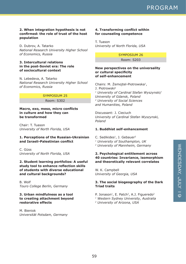### **2. When integration hypothesis is not confirmed: the role of trust of the host population**

D. Dubrov, A. Tatarko *National Research University Higher School of Economics, Russia*

### **3. Intercultural relations in the post-Soviet era: The role of sociocultural context**

N. Lebedeva, A. Tatarko *National Research University Higher School of Economics, Russia*

### SYMPOSIUM 25

Room: S302

**Macro, exo, meso, micro conflicts in culture and how they can be transformed**

Chair: T. Tuason *University of North Florida, USA*

### **1. Perceptions of the Russian-Ukrainian and Israeli-Palestinian conflict**

C. Güss *University of North Florida, USA*

### **2. Student learning portfolios: A useful study tool to enhance reflection skills of students with diverse educational and cultural backgrounds?**

B. Wolf *Touro College Berlin, Germany*

### **3. Urban mindfulness as a tool to creating attachment beyond restorative effects**

M. Bieniok *Universität Potsdam, Germany*

### **4. Transforming conflict within for counseling competence**

T. Tuason *University of North Florida, USA*

> SYMPOSIUM 26 Room: S203

### **New perspectives on the universality or cultural specificity of self-enhancement**

Chairs: M. Żemojtel-Piotrowska1, J. Piotrowski2 *1 University of Cardinal Stefan Wyszynski/ University of Gdansk, Poland 2 University of Social Sciences and Humanities, Poland*

Discussant: J. Cieciuch *University of Cardinal Stefan Wyszynski, Poland*

### **1. Buddhist self-enhancement**

C. Sedikides<sup>1</sup>, J. Gebauer<sup>2</sup> *1 University of Southampton, UK 2 University of Mannheim, Germany*

### **2. Psychological entitlement across 40 countries: Invariance, isomorphism and theoretically relevant correlates**

W. K. Campbell *University of Georgia, USA*

### **3. The social biogeography of the Dark Triad traits**

- P. Jonason<sup>1</sup>, E. Patch<sup>2</sup>, A.J. Figueredo<sup>2</sup>
- *1 Western Sydney University, Australia*
- *2 University of Arizona, USA*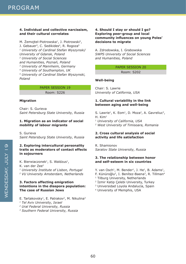### **4. Individual and collective narcissism, and their cultural correlates**

M. Żemojtel-Piotrowska<sup>1</sup>, J. Piotrowski<sup>2</sup>, J. Gebauer<sup>3</sup>, C. Sedikides<sup>4</sup>, R. Rogoza<sup>5</sup> *1 University of Cardinal Stefan Wyszynski/ University of Gdansk, Poland 2 University of Social Sciences and Humanities, Poznań, Poland 3 University of Mannheim, Germany 4 University of Southampton, UK*

*5 University of Cardinal Stefan Wyszynski, Poland*

### PAPER SESSION 19

Room: S226

### **Migration**

Chair: S. Gurieva *Saint Petersburg State University, Russia*

### **1. Migration as an indicator of social mobility of labour migrants**

S. Gurieva *Saint Petersburg State University, Russia*

### **2. Exploring intercultural personality traits as moderators of contact effects in sojourners**

K. Bierwiaczonek<sup>1</sup>, S. Waldzus<sup>1</sup>, K. van der Zee2 *1 University Institute of Lisbon, Portugal 2 VU University Amsterdam, Netherlands*

### **3. Factors affecting emigration intentions in the diaspora population: The case of Russian Jews**

E. Tartakovsky<sup>1</sup>, E. Patrakov<sup>2</sup>, M. Nikulina<sup>3</sup>

*1 Tel Aviv University, Israel*

*2 Ural Federal University, Russia*

*3 Southern Federal University, Russia*

### **4. Should I stay or should I go? Exploring peer-group and local community influences on young Poles' decisions to migrate**

A. Zdrodowska, I. Grabowska *SWPS University of Social Sciences and Humanities, Poland*

### PAPER SESSION 20

Room: S202

### **Well-being**

Chair: S. Lawrie *University of California, USA*

### **1. Cultural variability in the link between aging and well-being**

S. Lawrie<sup>1</sup>, K. Eom<sup>1</sup>, D. Moza<sup>2</sup>, A. Gavreliuc<sup>2</sup>,  $H.$  Kim<sup>1</sup>

<sup>1</sup> *University of California, USA* 

*2 West University of Timisoara, Romania*

### **2. Cross cultural analysis of social activity and life satisfaction**

R. Shamionov *Saratov State University, Russia*

### **3. The relationship between honor and self-esteem in six countries**

Y. van Osch<sup>1</sup>, M. Bender<sup>1</sup>, J. He<sup>1</sup>, B. Adams<sup>1</sup>, F. Künüroğlu<sup>2</sup>, I. Benítez-Baena<sup>3</sup>, R. Tillman<sup>4</sup> <sup>1</sup> Tilburg University, Netherlands

- <sup>2</sup> İzmir Katip Çelebi University, Turkey
- 3 Universidad Loyola Andalucía, Spain
- 4 University of Memphis, USA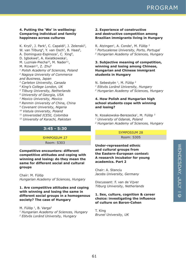### **4. Putting the 'We' in wellbeing: Comparing individual and family happiness across cultures**

K. Kryś<sup>1</sup>, J. Park<sup>2</sup>, C. Capaldi<sup>3</sup>, J. Zelenski<sup>3</sup>, W. van Tilburg<sup>4</sup>, Y. van Osch<sup>5</sup>, B. Haas<sup>6</sup>, A. Dominguez-Espinoza<sup>7</sup>, C. Xing<sup>8</sup>, D. Igbokwe<sup>9</sup>, A. Kwiatkowska<sup>1</sup>, M. Luzniak-Piecha<sup>10</sup>, M. Nader<sup>11</sup>, M. Rizwan<sup>12</sup>, Z. Zhu<sup>8</sup> *1 Polish Academy of Sciences, Poland 2 Nagoya University of Commerce and Business, Japan 3 Carleton University, Canada <sup>4</sup> King's College London, UK 5 Tilburg University, Netherlands 6 University of Georgia, USA 7 Mexico University, Mexico 8 Renmin University of China, China 9 Covenant University, Nigeria 10 Vistula University, Poland 11 Universidad ICESI, Colombia 12 University of Karachi, Pakistan*

### **3:45 - 5:30**

SYMPOSIUM 27 Room: S303

**Competitive encounters: different competitive attitudes and coping with winning and losing: do they mean the same for different social and cultural groups**

Chair: M. Fülöp *Hungarian Academy of Sciences, Hungary*

### **1. Are competitive attitudes and coping with winning and losing the same in different social groups in a homogenous society? The case of Hungary**

M. Fülöp<sup>1</sup>, B. Varga<sup>2</sup> *1 Hungarian Academy of Sciences, Hungary 2 Eötvös Loránd University, Hungary*

### **2. Experience of constructive and destructive competition among Brazilian immigrants living in Hungary**

R. Atzingen<sup>1</sup>, A. Conde<sup>1</sup>, M. Fülöp<sup>2</sup> *1 Portucalense University, Porto, Portugal 2 Hungarian Academy of Sciences, Hungary*

### **3. Subjective meaning of competition, winning and losing among Chinese, Hungarian and Chinese immigrant students in Hungary**

N. Sebestyén <sup>1</sup>, M. Fülöp <sup>2</sup> *1 Eötvös Loránd University, Hungary 2 Hungarian Academy of Sciences, Hungary*

### **4. How Polish and Hungarian high school students cope with winning and losing?**

- N. Kosakowska-Berezecka<sup>1</sup>, M. Fülöp<sup>2</sup>
- *1 University of Gdansk, Poland*
- *2 Hungarian Academy of Sciences, Hungary*

### SYMPOSIUM 28

Room: S305

### **Under-represented ethnic and cultural groups from the Eastern-European context: A research incubator for young academics. Part 2**

Chair: A. Stanciu *Jacobs University, Germany*

Discussant: F. van de Vijver *Tilburg University, Netherlands*

### **1. Sex, culture, cognition & career choice: investigating the influence of culture on Baron-Cohen**

T. King *Brunel University, UK*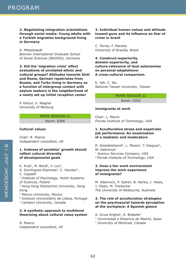**2. Negotiating integration orientations through social media: Young adults with a Turkish migration background living in Germany**

A. Mittelstaedt *Bremen International Graduate School of Social Sciences (BIGSSS), Germany*

**3. Did the 'migration crisis' affect evaluations of unrelated ethnic and cultural groups? Attitudes towards Sinti and Roma, German repatriates from Russia, and Turks living in Germany as a function of intergroup contact with asylum seekers in the neighborhood of a newly set up initial reception center**

P. Kotzur, U. Wagner *University of Marburg*

#### PAPER SESSION 21

Room: S306

### **Cultural values**

Chair: R. Pearce *Independent consultant, UK*

### **1. Indexes of societies' growth should reflect cultural diversity of developmental goals**

K. Kryś<sup>1</sup>, M. Bond<sup>2</sup>, V. Lun<sup>2</sup>, A. Domínguez-Espinosa<sup>3</sup>, C. Vauclair<sup>4</sup>, C. Capaldi<sup>5</sup> *1 Institute of Psychology, Polish Academy of Sciences, Poland 2 Hong Kong Polytechnic University, Hong Kong 3 Mexico University, Mexico 4 Instituto Universitário de Lisboa, Portugal*

*5 Carleton University, Canada*

### **2. A synthetic approach to multilevel theorizing about cultural value system**

R. Pearce *independent consultant, UK*

### **3. Individual human values and attitude toward guns and its influence on fear of crime in brazil**

C. Torres, F. Macedo *University of Brasilia, Brasil*

**4. Construct-superiority, domain-superiority, and culture-relevance of dual autonomies on personal adaptations: A cross-cultural comparison.**

K. Yeh, C. Wu *National Taiwan University, Taiwan*

> PAPER SESSION 22 Room: S302

#### **Immigrants at work**

Chair: L. Moore *Florida Institute of Technology, USA*

### **1. Acculturative stress and expatriate job performance: An examination of a mediator and moderators**

R. Alzaidalsharief<sup>1</sup>, L. Moore<sup>2</sup>, T. Dieguez<sup>2</sup>, W. Gabrenya<sup>2</sup> *1 Aramco Services Company, USA 2 Florida Institute of Technology, USA*

#### **2. Does a fair work environment improve the work experience of immigrants?**

M. Adamovic, P. Gahan, B. Harley, J. Healy, J. Olsen, M. Theilacker *The University of Melbourne, Australia*

### **3. The role of acculturation strategies on the psychosocial hazards perception at the workplace: A Spanish glance**

A. Gruia Anghel<sup>1</sup>, A. Brabete<sup>2</sup> *1 Universidad a Distancia de Madrid, Spain 2 University of Montreal, Canada*